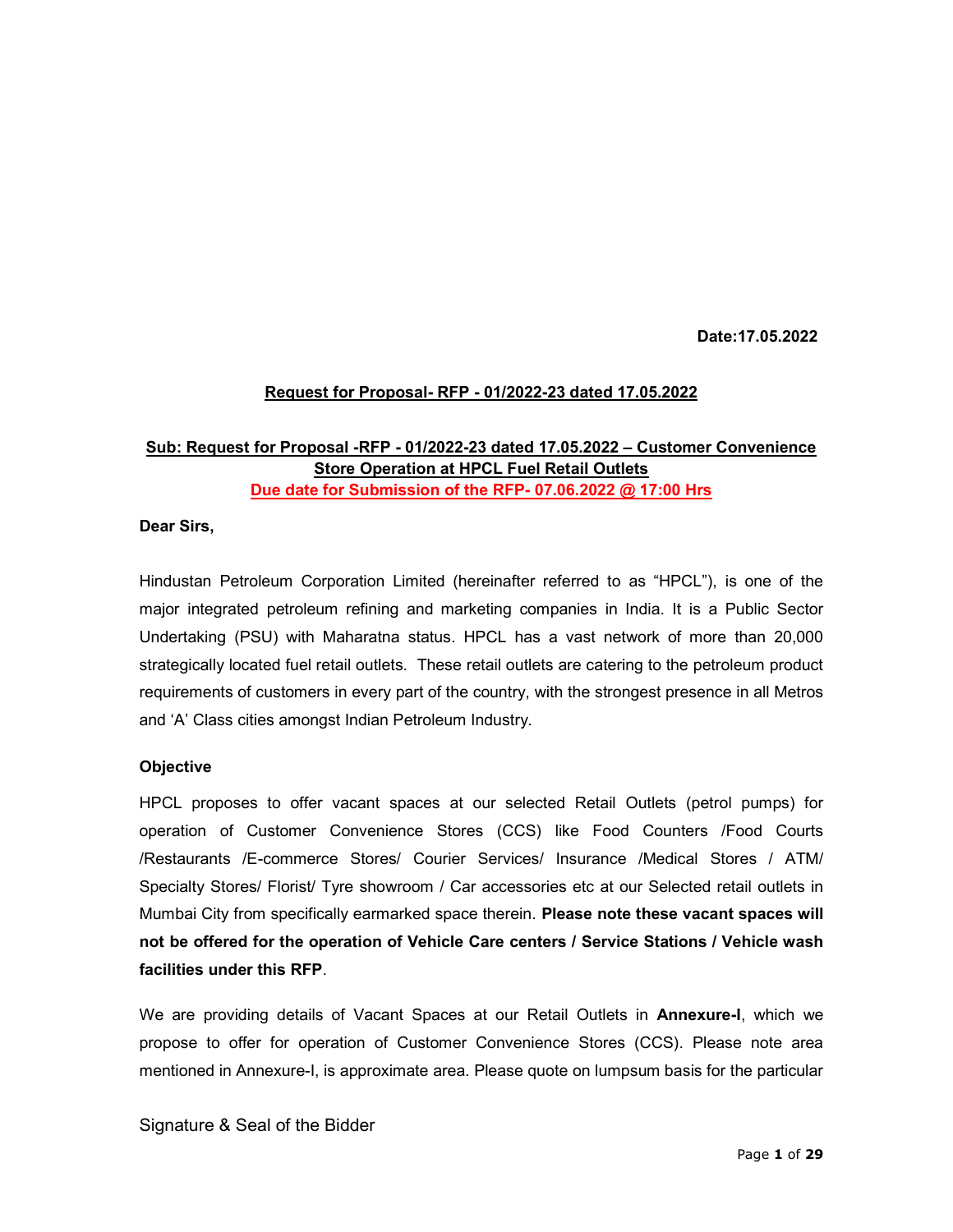Date:17.05.2022

## Request for Proposal- RFP - 01/2022-23 dated 17.05.2022

# Sub: Request for Proposal -RFP - 01/2022-23 dated 17.05.2022 – Customer Convenience Store Operation at HPCL Fuel Retail Outlets Due date for Submission of the RFP- 07.06.2022 @ 17:00 Hrs

#### Dear Sirs,

Hindustan Petroleum Corporation Limited (hereinafter referred to as "HPCL"), is one of the major integrated petroleum refining and marketing companies in India. It is a Public Sector Undertaking (PSU) with Maharatna status. HPCL has a vast network of more than 20,000 strategically located fuel retail outlets. These retail outlets are catering to the petroleum product requirements of customers in every part of the country, with the strongest presence in all Metros and 'A' Class cities amongst Indian Petroleum Industry.

#### **Objective**

HPCL proposes to offer vacant spaces at our selected Retail Outlets (petrol pumps) for operation of Customer Convenience Stores (CCS) like Food Counters /Food Courts /Restaurants /E-commerce Stores/ Courier Services/ Insurance /Medical Stores / ATM/ Specialty Stores/ Florist/ Tyre showroom / Car accessories etc at our Selected retail outlets in Mumbai City from specifically earmarked space therein. Please note these vacant spaces will not be offered for the operation of Vehicle Care centers / Service Stations / Vehicle wash facilities under this RFP.

We are providing details of Vacant Spaces at our Retail Outlets in **Annexure-I**, which we propose to offer for operation of Customer Convenience Stores (CCS). Please note area mentioned in Annexure-I, is approximate area. Please quote on lumpsum basis for the particular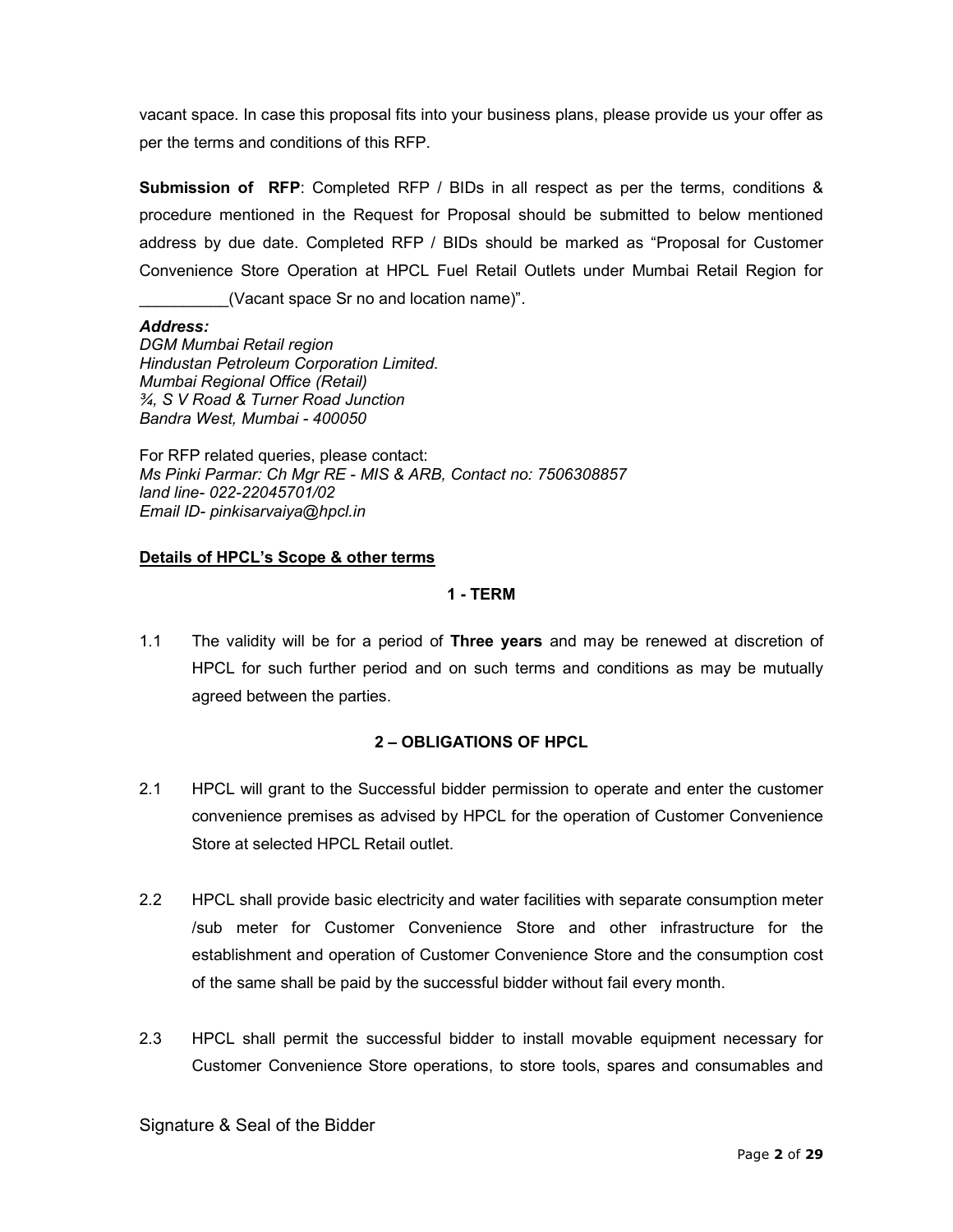vacant space. In case this proposal fits into your business plans, please provide us your offer as per the terms and conditions of this RFP.

**Submission of RFP:** Completed RFP / BIDs in all respect as per the terms, conditions & procedure mentioned in the Request for Proposal should be submitted to below mentioned address by due date. Completed RFP / BIDs should be marked as "Proposal for Customer Convenience Store Operation at HPCL Fuel Retail Outlets under Mumbai Retail Region for \_\_\_\_\_\_\_\_\_\_(Vacant space Sr no and location name)".

#### Address:

DGM Mumbai Retail region Hindustan Petroleum Corporation Limited. Mumbai Regional Office (Retail) ¾, S V Road & Turner Road Junction Bandra West, Mumbai - 400050

For RFP related queries, please contact: Ms Pinki Parmar: Ch Mgr RE - MIS & ARB, Contact no: 7506308857 land line- 022-22045701/02 Email ID- pinkisarvaiya@hpcl.in

#### Details of HPCL's Scope & other terms

#### 1 - TERM

1.1 The validity will be for a period of Three years and may be renewed at discretion of HPCL for such further period and on such terms and conditions as may be mutually agreed between the parties.

#### 2 – OBLIGATIONS OF HPCL

- 2.1 HPCL will grant to the Successful bidder permission to operate and enter the customer convenience premises as advised by HPCL for the operation of Customer Convenience Store at selected HPCL Retail outlet.
- 2.2 HPCL shall provide basic electricity and water facilities with separate consumption meter /sub meter for Customer Convenience Store and other infrastructure for the establishment and operation of Customer Convenience Store and the consumption cost of the same shall be paid by the successful bidder without fail every month.
- 2.3 HPCL shall permit the successful bidder to install movable equipment necessary for Customer Convenience Store operations, to store tools, spares and consumables and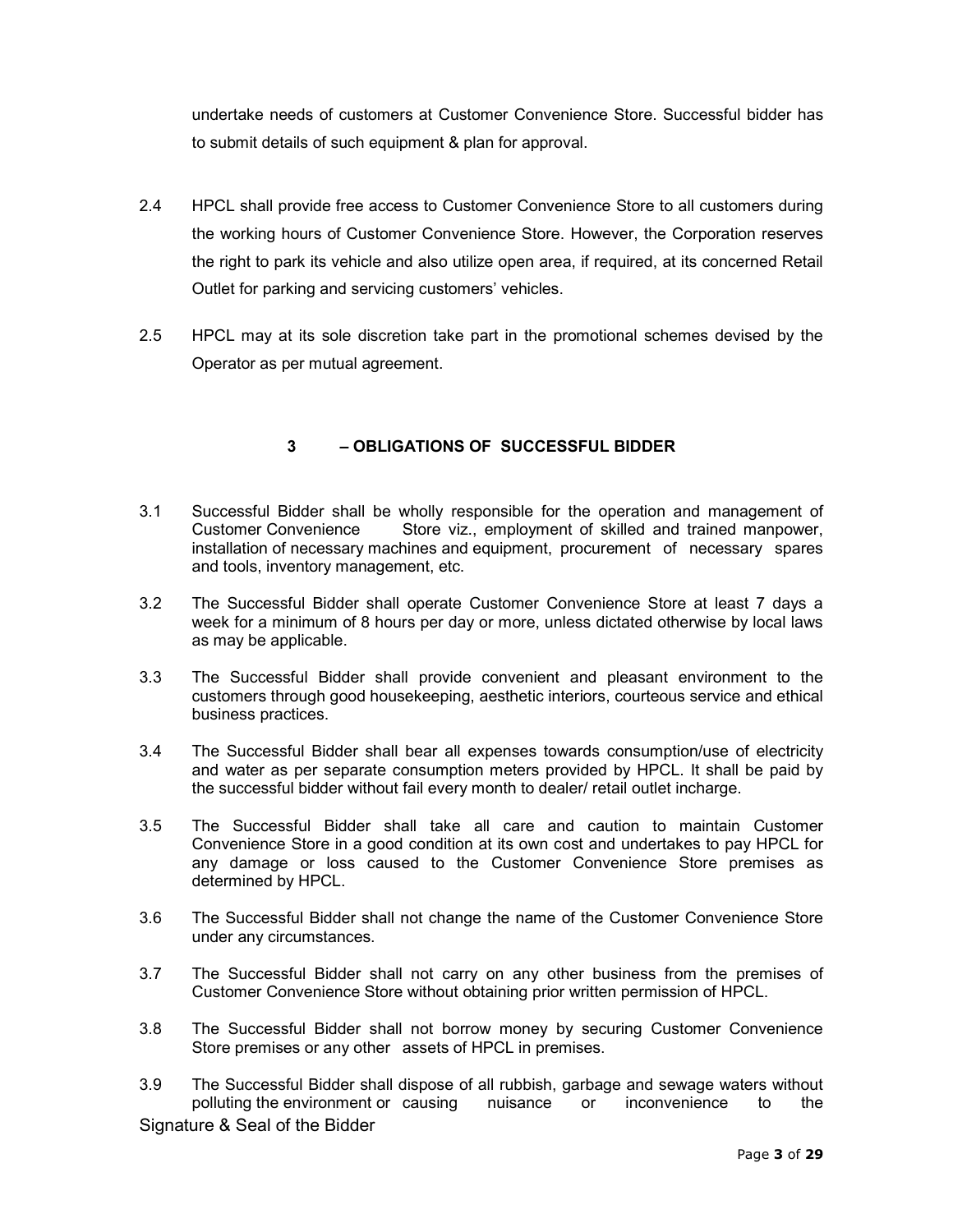undertake needs of customers at Customer Convenience Store. Successful bidder has to submit details of such equipment & plan for approval.

- 2.4 HPCL shall provide free access to Customer Convenience Store to all customers during the working hours of Customer Convenience Store. However, the Corporation reserves the right to park its vehicle and also utilize open area, if required, at its concerned Retail Outlet for parking and servicing customers' vehicles.
- 2.5 HPCL may at its sole discretion take part in the promotional schemes devised by the Operator as per mutual agreement.

# 3 – OBLIGATIONS OF SUCCESSFUL BIDDER

- 3.1 Successful Bidder shall be wholly responsible for the operation and management of Customer Convenience Store viz., employment of skilled and trained manpower, installation of necessary machines and equipment, procurement of necessary spares and tools, inventory management, etc.
- 3.2 The Successful Bidder shall operate Customer Convenience Store at least 7 days a week for a minimum of 8 hours per day or more, unless dictated otherwise by local laws as may be applicable.
- 3.3 The Successful Bidder shall provide convenient and pleasant environment to the customers through good housekeeping, aesthetic interiors, courteous service and ethical business practices.
- 3.4 The Successful Bidder shall bear all expenses towards consumption/use of electricity and water as per separate consumption meters provided by HPCL. It shall be paid by the successful bidder without fail every month to dealer/ retail outlet incharge.
- 3.5 The Successful Bidder shall take all care and caution to maintain Customer Convenience Store in a good condition at its own cost and undertakes to pay HPCL for any damage or loss caused to the Customer Convenience Store premises as determined by HPCL.
- 3.6 The Successful Bidder shall not change the name of the Customer Convenience Store under any circumstances.
- 3.7 The Successful Bidder shall not carry on any other business from the premises of Customer Convenience Store without obtaining prior written permission of HPCL.
- 3.8 The Successful Bidder shall not borrow money by securing Customer Convenience Store premises or any other assets of HPCL in premises.
- Signature & Seal of the Bidder 3.9 The Successful Bidder shall dispose of all rubbish, garbage and sewage waters without polluting the environment or causing nuisance or inconvenience to the polluting the environment or causing nuisance or inconvenience to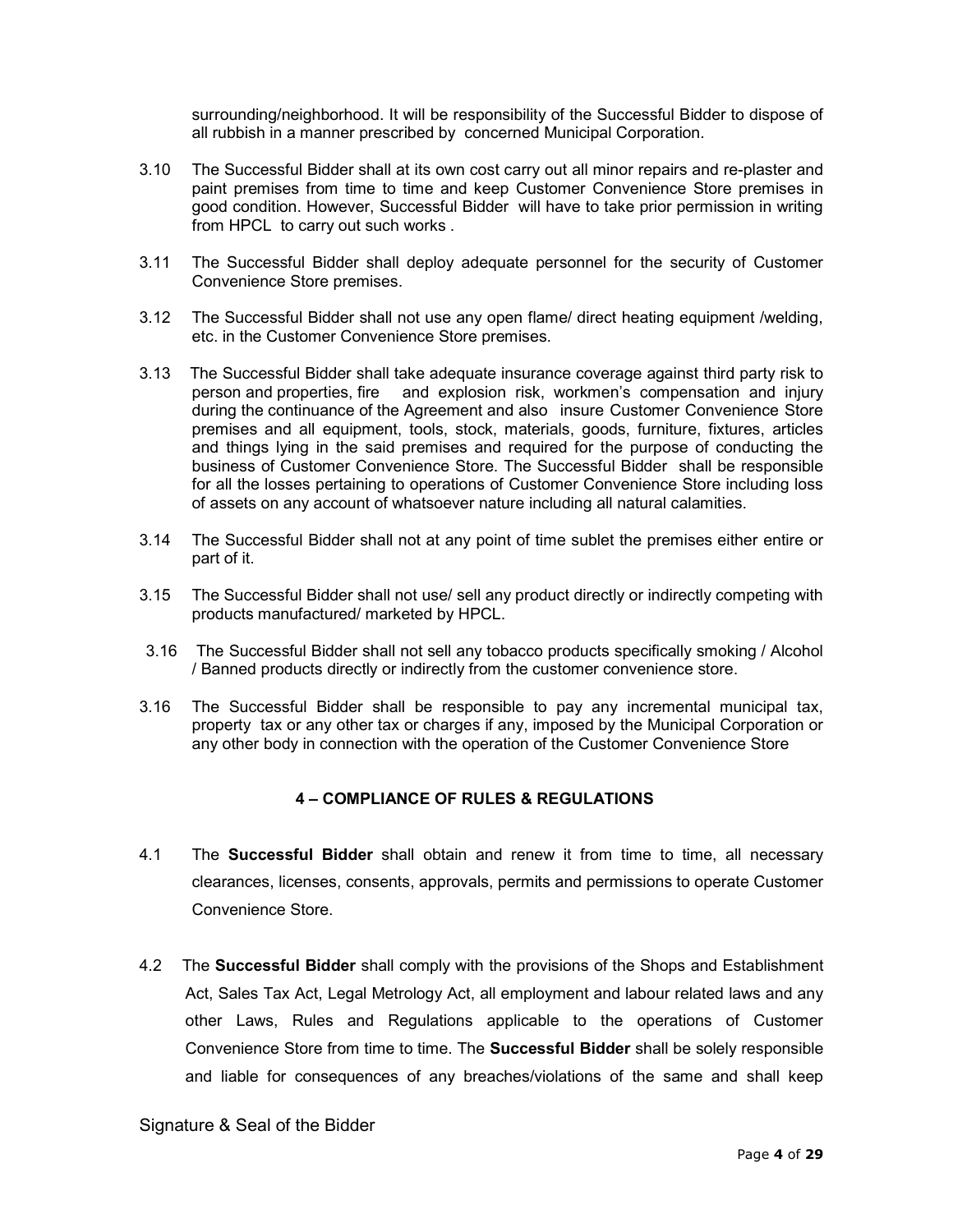surrounding/neighborhood. It will be responsibility of the Successful Bidder to dispose of all rubbish in a manner prescribed by concerned Municipal Corporation.

- 3.10 The Successful Bidder shall at its own cost carry out all minor repairs and re-plaster and paint premises from time to time and keep Customer Convenience Store premises in good condition. However, Successful Bidder will have to take prior permission in writing from HPCL to carry out such works .
- 3.11 The Successful Bidder shall deploy adequate personnel for the security of Customer Convenience Store premises.
- 3.12 The Successful Bidder shall not use any open flame/ direct heating equipment /welding, etc. in the Customer Convenience Store premises.
- 3.13 The Successful Bidder shall take adequate insurance coverage against third party risk to person and properties, fire and explosion risk, workmen's compensation and injury during the continuance of the Agreement and also insure Customer Convenience Store premises and all equipment, tools, stock, materials, goods, furniture, fixtures, articles and things lying in the said premises and required for the purpose of conducting the business of Customer Convenience Store. The Successful Bidder shall be responsible for all the losses pertaining to operations of Customer Convenience Store including loss of assets on any account of whatsoever nature including all natural calamities.
- 3.14 The Successful Bidder shall not at any point of time sublet the premises either entire or part of it.
- 3.15 The Successful Bidder shall not use/ sell any product directly or indirectly competing with products manufactured/ marketed by HPCL.
- 3.16 The Successful Bidder shall not sell any tobacco products specifically smoking / Alcohol / Banned products directly or indirectly from the customer convenience store.
- 3.16 The Successful Bidder shall be responsible to pay any incremental municipal tax, property tax or any other tax or charges if any, imposed by the Municipal Corporation or any other body in connection with the operation of the Customer Convenience Store

#### 4 – COMPLIANCE OF RULES & REGULATIONS

- 4.1 The **Successful Bidder** shall obtain and renew it from time to time, all necessary clearances, licenses, consents, approvals, permits and permissions to operate Customer Convenience Store.
- 4.2 The Successful Bidder shall comply with the provisions of the Shops and Establishment Act, Sales Tax Act, Legal Metrology Act, all employment and labour related laws and any other Laws, Rules and Regulations applicable to the operations of Customer Convenience Store from time to time. The Successful Bidder shall be solely responsible and liable for consequences of any breaches/violations of the same and shall keep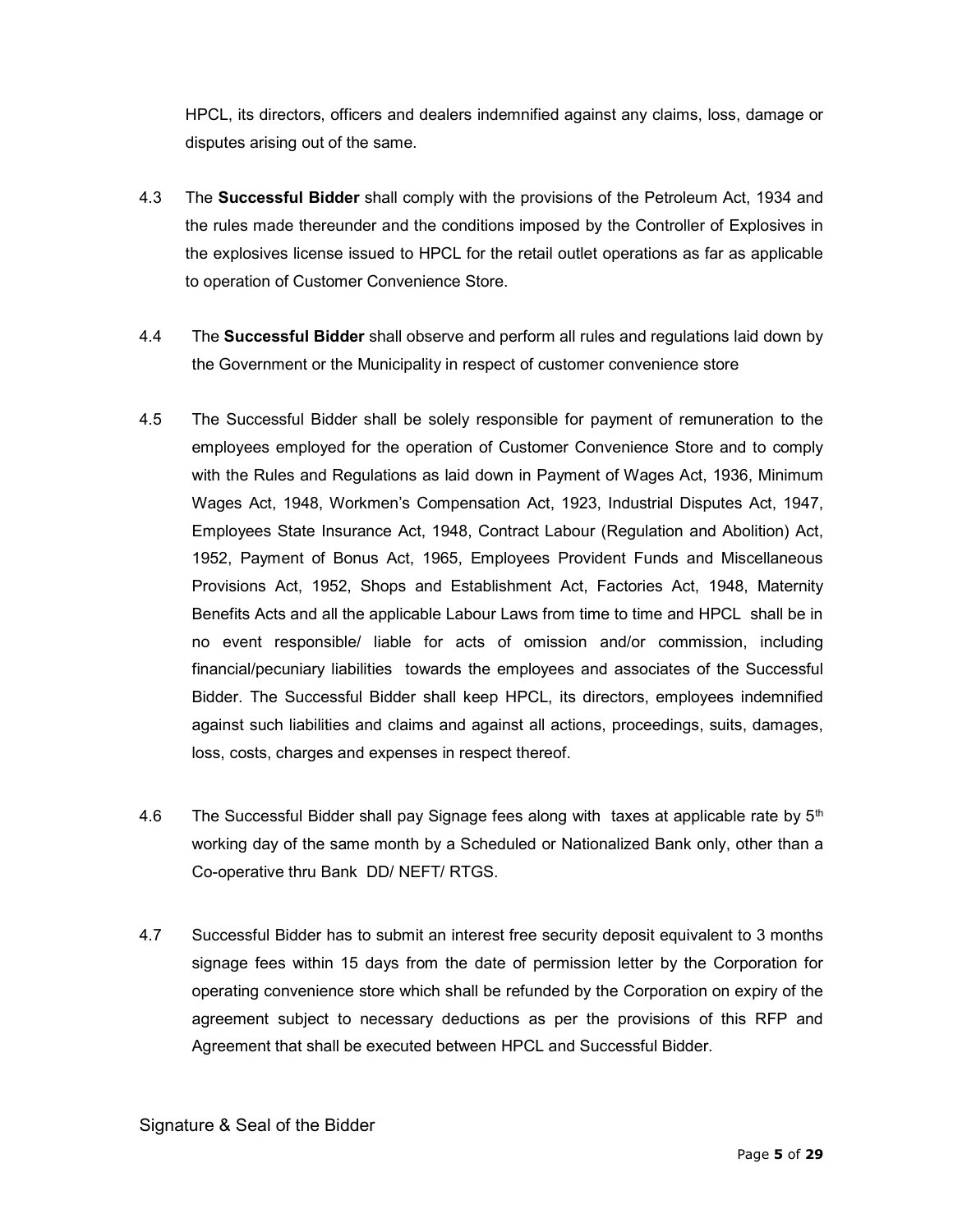HPCL, its directors, officers and dealers indemnified against any claims, loss, damage or disputes arising out of the same.

- 4.3 The Successful Bidder shall comply with the provisions of the Petroleum Act, 1934 and the rules made thereunder and the conditions imposed by the Controller of Explosives in the explosives license issued to HPCL for the retail outlet operations as far as applicable to operation of Customer Convenience Store.
- 4.4 The Successful Bidder shall observe and perform all rules and regulations laid down by the Government or the Municipality in respect of customer convenience store
- 4.5 The Successful Bidder shall be solely responsible for payment of remuneration to the employees employed for the operation of Customer Convenience Store and to comply with the Rules and Regulations as laid down in Payment of Wages Act, 1936, Minimum Wages Act, 1948, Workmen's Compensation Act, 1923, Industrial Disputes Act, 1947, Employees State Insurance Act, 1948, Contract Labour (Regulation and Abolition) Act, 1952, Payment of Bonus Act, 1965, Employees Provident Funds and Miscellaneous Provisions Act, 1952, Shops and Establishment Act, Factories Act, 1948, Maternity Benefits Acts and all the applicable Labour Laws from time to time and HPCL shall be in no event responsible/ liable for acts of omission and/or commission, including financial/pecuniary liabilities towards the employees and associates of the Successful Bidder. The Successful Bidder shall keep HPCL, its directors, employees indemnified against such liabilities and claims and against all actions, proceedings, suits, damages, loss, costs, charges and expenses in respect thereof.
- 4.6 The Successful Bidder shall pay Signage fees along with taxes at applicable rate by  $5<sup>th</sup>$ working day of the same month by a Scheduled or Nationalized Bank only, other than a Co-operative thru Bank DD/ NEFT/ RTGS.
- 4.7 Successful Bidder has to submit an interest free security deposit equivalent to 3 months signage fees within 15 days from the date of permission letter by the Corporation for operating convenience store which shall be refunded by the Corporation on expiry of the agreement subject to necessary deductions as per the provisions of this RFP and Agreement that shall be executed between HPCL and Successful Bidder.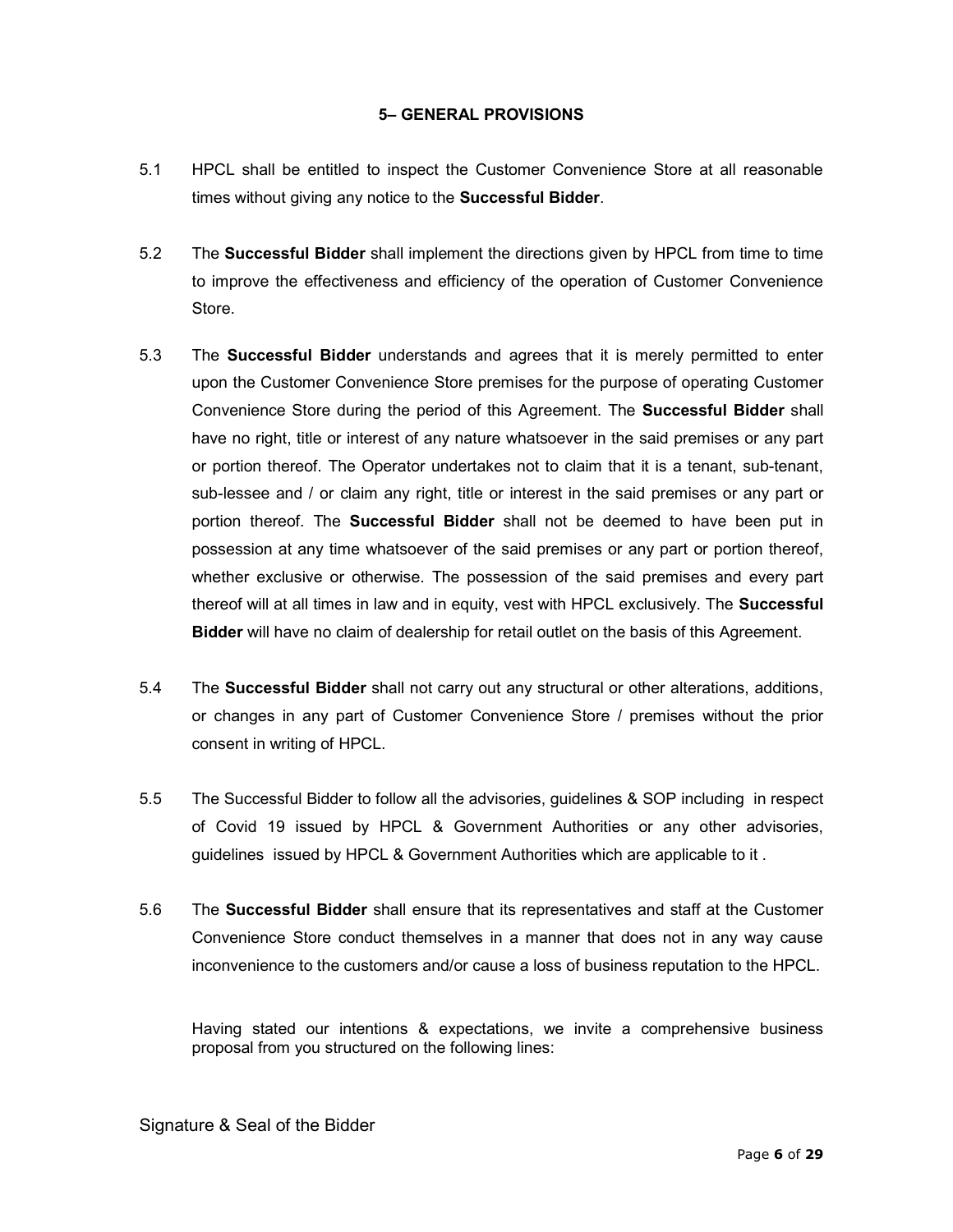#### 5– GENERAL PROVISIONS

- 5.1 HPCL shall be entitled to inspect the Customer Convenience Store at all reasonable times without giving any notice to the Successful Bidder.
- 5.2 The **Successful Bidder** shall implement the directions given by HPCL from time to time to improve the effectiveness and efficiency of the operation of Customer Convenience Store.
- 5.3 The Successful Bidder understands and agrees that it is merely permitted to enter upon the Customer Convenience Store premises for the purpose of operating Customer Convenience Store during the period of this Agreement. The Successful Bidder shall have no right, title or interest of any nature whatsoever in the said premises or any part or portion thereof. The Operator undertakes not to claim that it is a tenant, sub-tenant, sub-lessee and / or claim any right, title or interest in the said premises or any part or portion thereof. The **Successful Bidder** shall not be deemed to have been put in possession at any time whatsoever of the said premises or any part or portion thereof, whether exclusive or otherwise. The possession of the said premises and every part thereof will at all times in law and in equity, vest with HPCL exclusively. The Successful Bidder will have no claim of dealership for retail outlet on the basis of this Agreement.
- 5.4 The Successful Bidder shall not carry out any structural or other alterations, additions, or changes in any part of Customer Convenience Store / premises without the prior consent in writing of HPCL.
- 5.5 The Successful Bidder to follow all the advisories, guidelines & SOP including in respect of Covid 19 issued by HPCL & Government Authorities or any other advisories, guidelines issued by HPCL & Government Authorities which are applicable to it .
- 5.6 The Successful Bidder shall ensure that its representatives and staff at the Customer Convenience Store conduct themselves in a manner that does not in any way cause inconvenience to the customers and/or cause a loss of business reputation to the HPCL.

Having stated our intentions & expectations, we invite a comprehensive business proposal from you structured on the following lines: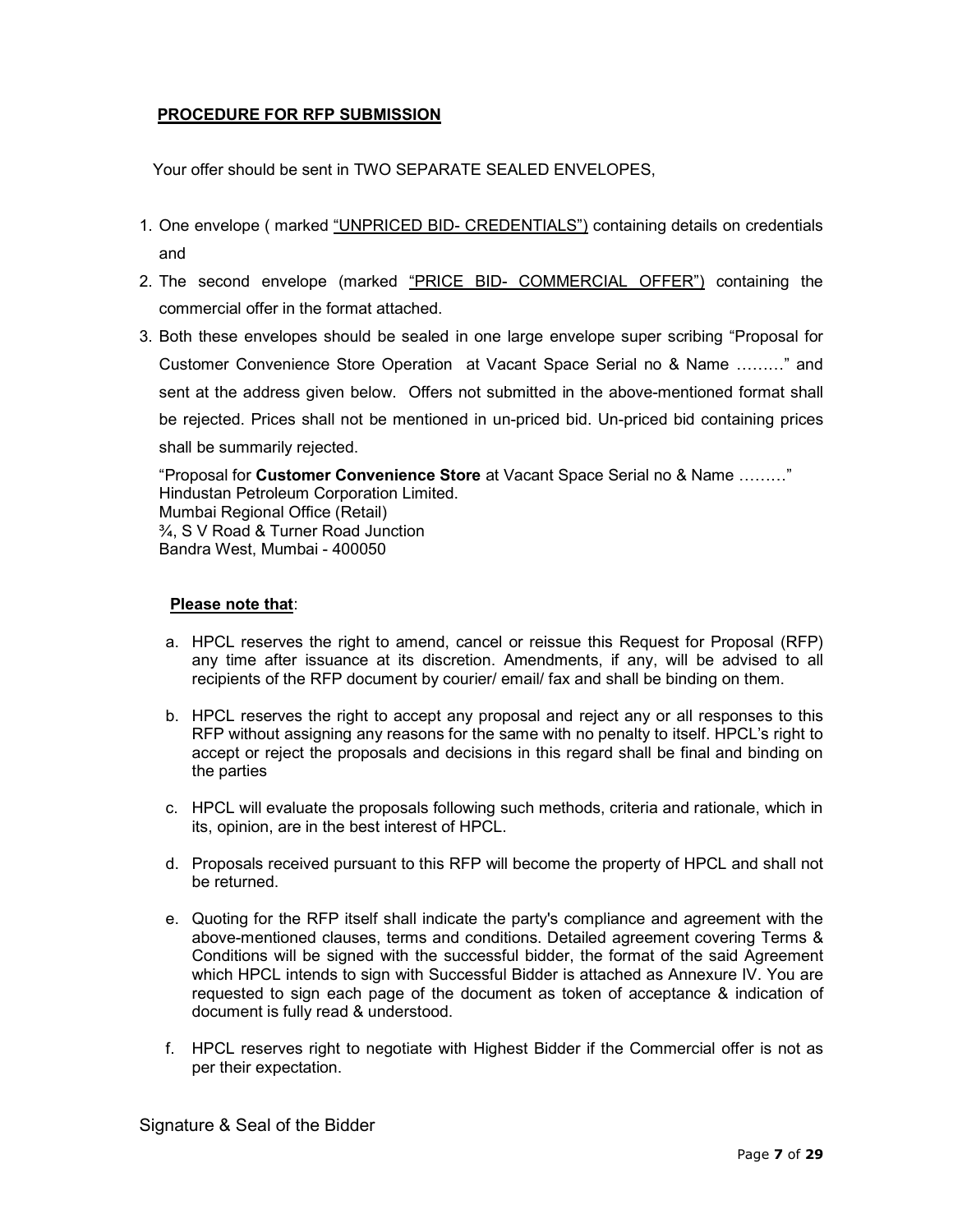## PROCEDURE FOR RFP SUBMISSION

Your offer should be sent in TWO SEPARATE SEALED ENVELOPES,

- 1. One envelope ( marked "UNPRICED BID- CREDENTIALS") containing details on credentials and
- 2. The second envelope (marked "PRICE BID- COMMERCIAL OFFER") containing the commercial offer in the format attached.
- 3. Both these envelopes should be sealed in one large envelope super scribing "Proposal for Customer Convenience Store Operation at Vacant Space Serial no & Name ………" and sent at the address given below. Offers not submitted in the above-mentioned format shall be rejected. Prices shall not be mentioned in un-priced bid. Un-priced bid containing prices shall be summarily rejected.

"Proposal for Customer Convenience Store at Vacant Space Serial no & Name ………" Hindustan Petroleum Corporation Limited. Mumbai Regional Office (Retail) ¾, S V Road & Turner Road Junction Bandra West, Mumbai - 400050

#### Please note that:

- a. HPCL reserves the right to amend, cancel or reissue this Request for Proposal (RFP) any time after issuance at its discretion. Amendments, if any, will be advised to all recipients of the RFP document by courier/ email/ fax and shall be binding on them.
- b. HPCL reserves the right to accept any proposal and reject any or all responses to this RFP without assigning any reasons for the same with no penalty to itself. HPCL's right to accept or reject the proposals and decisions in this regard shall be final and binding on the parties
- c. HPCL will evaluate the proposals following such methods, criteria and rationale, which in its, opinion, are in the best interest of HPCL.
- d. Proposals received pursuant to this RFP will become the property of HPCL and shall not be returned.
- e. Quoting for the RFP itself shall indicate the party's compliance and agreement with the above-mentioned clauses, terms and conditions. Detailed agreement covering Terms & Conditions will be signed with the successful bidder, the format of the said Agreement which HPCL intends to sign with Successful Bidder is attached as Annexure IV. You are requested to sign each page of the document as token of acceptance & indication of document is fully read & understood.
- f. HPCL reserves right to negotiate with Highest Bidder if the Commercial offer is not as per their expectation.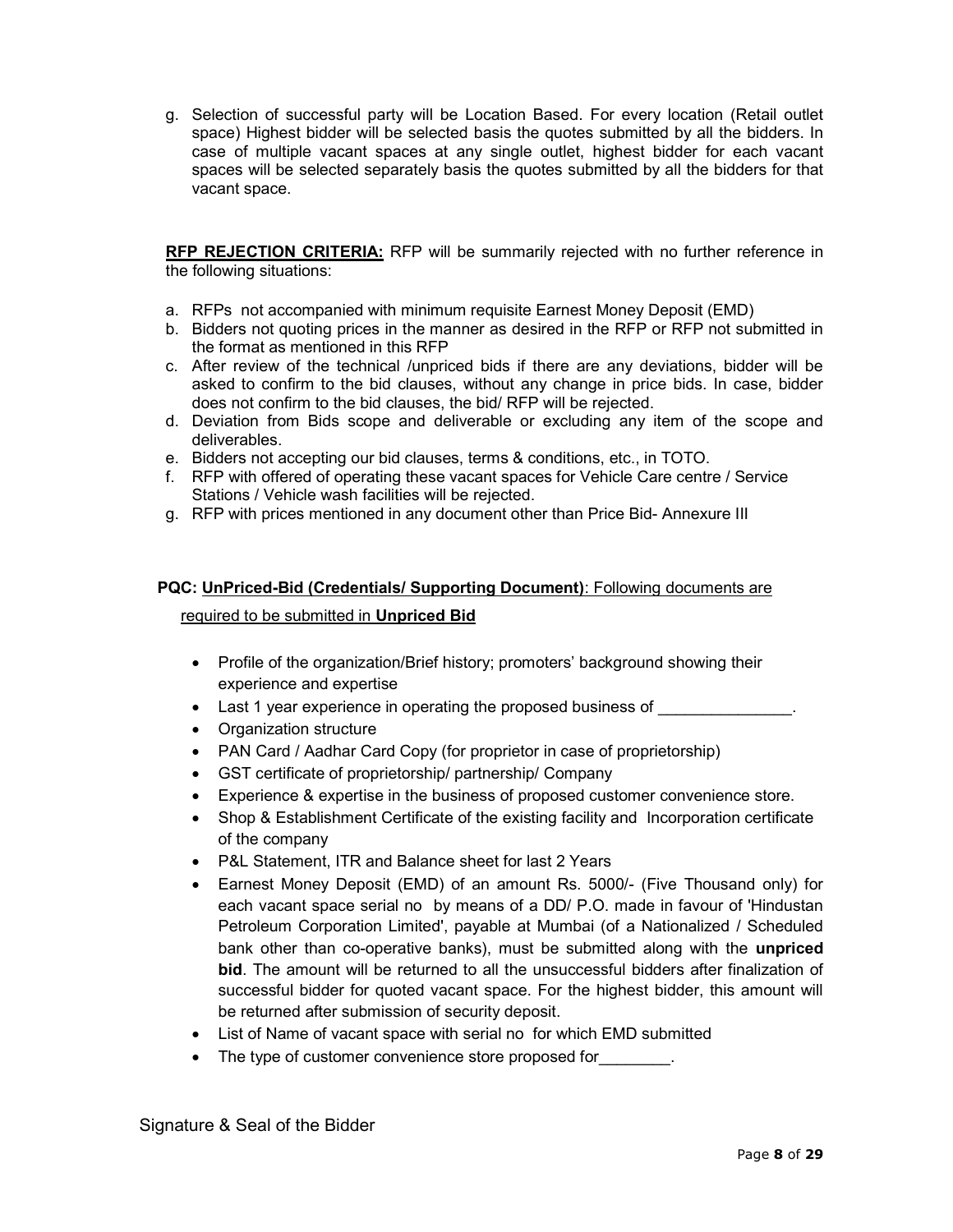g. Selection of successful party will be Location Based. For every location (Retail outlet space) Highest bidder will be selected basis the quotes submitted by all the bidders. In case of multiple vacant spaces at any single outlet, highest bidder for each vacant spaces will be selected separately basis the quotes submitted by all the bidders for that vacant space.

**RFP REJECTION CRITERIA:** RFP will be summarily rejected with no further reference in the following situations:

- a. RFPs not accompanied with minimum requisite Earnest Money Deposit (EMD)
- b. Bidders not quoting prices in the manner as desired in the RFP or RFP not submitted in the format as mentioned in this RFP
- c. After review of the technical /unpriced bids if there are any deviations, bidder will be asked to confirm to the bid clauses, without any change in price bids. In case, bidder does not confirm to the bid clauses, the bid/ RFP will be rejected.
- d. Deviation from Bids scope and deliverable or excluding any item of the scope and deliverables.
- e. Bidders not accepting our bid clauses, terms & conditions, etc., in TOTO.
- f. RFP with offered of operating these vacant spaces for Vehicle Care centre / Service Stations / Vehicle wash facilities will be rejected.
- g. RFP with prices mentioned in any document other than Price Bid- Annexure III

# PQC: UnPriced-Bid (Credentials/ Supporting Document): Following documents are required to be submitted in **Unpriced Bid**

- Profile of the organization/Brief history; promoters' background showing their experience and expertise
- Last 1 year experience in operating the proposed business of \_\_\_\_\_\_\_\_\_\_\_\_\_\_.
- Organization structure
- PAN Card / Aadhar Card Copy (for proprietor in case of proprietorship)
- GST certificate of proprietorship/ partnership/ Company
- Experience & expertise in the business of proposed customer convenience store.
- Shop & Establishment Certificate of the existing facility and Incorporation certificate of the company
- P&L Statement, ITR and Balance sheet for last 2 Years
- Earnest Money Deposit (EMD) of an amount Rs. 5000/- (Five Thousand only) for each vacant space serial no by means of a DD/ P.O. made in favour of 'Hindustan Petroleum Corporation Limited', payable at Mumbai (of a Nationalized / Scheduled bank other than co-operative banks), must be submitted along with the unpriced bid. The amount will be returned to all the unsuccessful bidders after finalization of successful bidder for quoted vacant space. For the highest bidder, this amount will be returned after submission of security deposit.
- List of Name of vacant space with serial no for which EMD submitted
- The type of customer convenience store proposed for  $\blacksquare$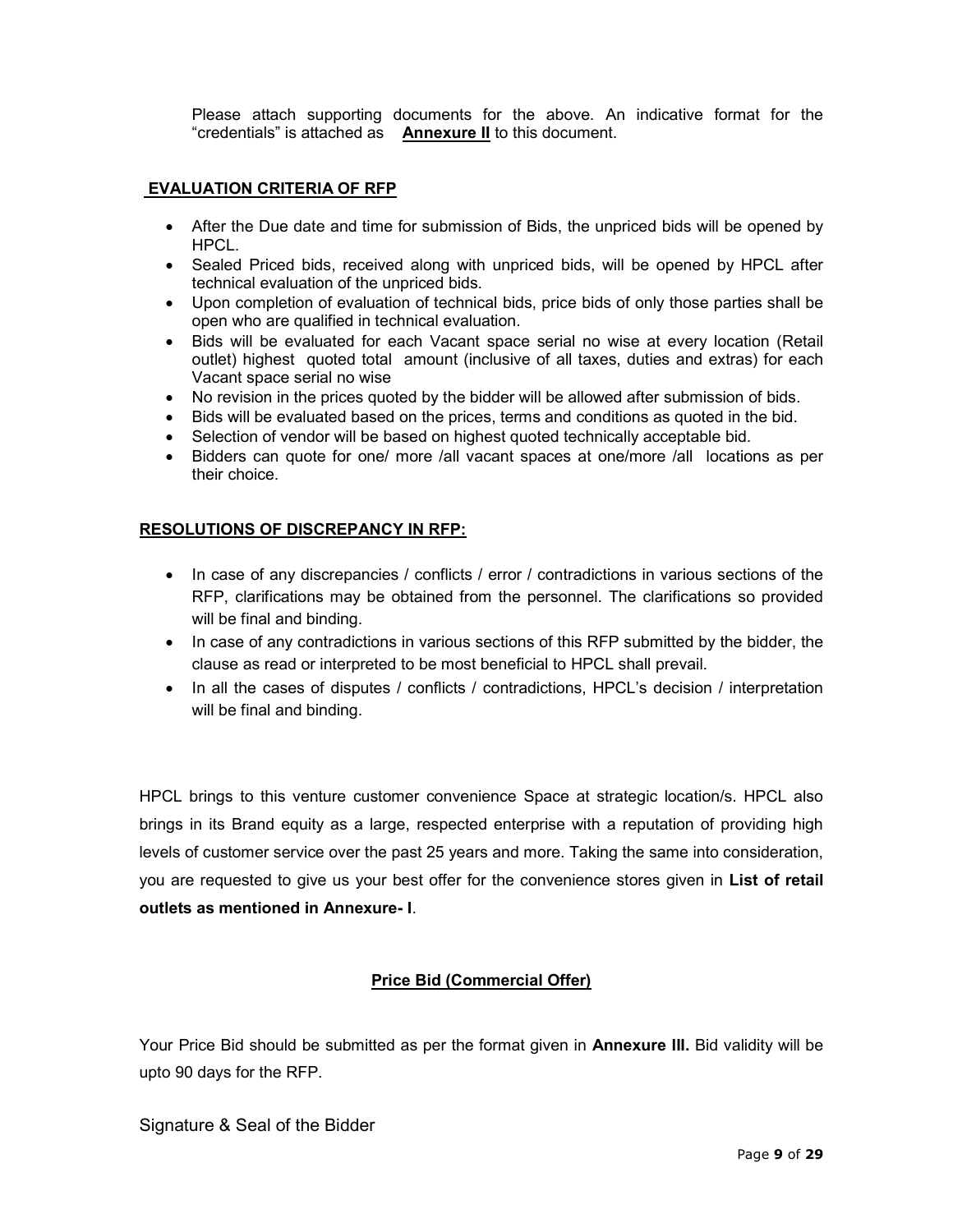Please attach supporting documents for the above. An indicative format for the "credentials" is attached as Annexure II to this document.

### EVALUATION CRITERIA OF RFP

- After the Due date and time for submission of Bids, the unpriced bids will be opened by HPCL.
- Sealed Priced bids, received along with unpriced bids, will be opened by HPCL after technical evaluation of the unpriced bids.
- Upon completion of evaluation of technical bids, price bids of only those parties shall be open who are qualified in technical evaluation.
- Bids will be evaluated for each Vacant space serial no wise at every location (Retail outlet) highest quoted total amount (inclusive of all taxes, duties and extras) for each Vacant space serial no wise
- No revision in the prices quoted by the bidder will be allowed after submission of bids.
- Bids will be evaluated based on the prices, terms and conditions as quoted in the bid.
- Selection of vendor will be based on highest quoted technically acceptable bid.
- Bidders can quote for one/ more /all vacant spaces at one/more /all locations as per their choice.

#### RESOLUTIONS OF DISCREPANCY IN RFP:

- In case of any discrepancies / conflicts / error / contradictions in various sections of the RFP, clarifications may be obtained from the personnel. The clarifications so provided will be final and binding.
- In case of any contradictions in various sections of this RFP submitted by the bidder, the clause as read or interpreted to be most beneficial to HPCL shall prevail.
- In all the cases of disputes / conflicts / contradictions, HPCL's decision / interpretation will be final and binding.

HPCL brings to this venture customer convenience Space at strategic location/s. HPCL also brings in its Brand equity as a large, respected enterprise with a reputation of providing high levels of customer service over the past 25 years and more. Taking the same into consideration, you are requested to give us your best offer for the convenience stores given in List of retail outlets as mentioned in Annexure- I.

## Price Bid (Commercial Offer)

Your Price Bid should be submitted as per the format given in **Annexure III.** Bid validity will be upto 90 days for the RFP.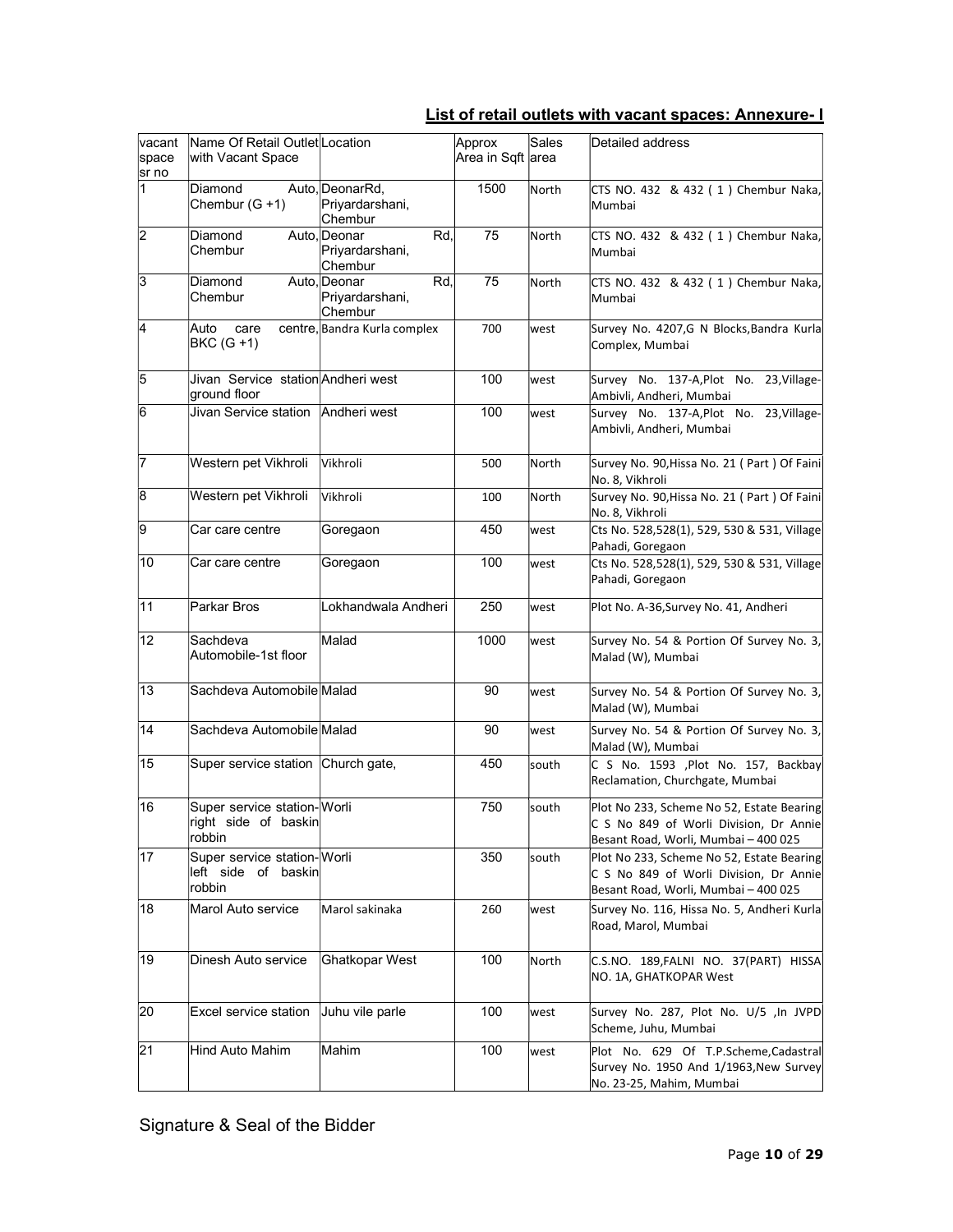# List of retail outlets with vacant spaces: Annexure- I

| ∣vacant<br>space<br>sr no | Name Of Retail Outlet Location<br>with Vacant Space           |                                                   | Approx<br>Area in Sqft arrea | Sales                                                         | Detailed address                                                                                                            |
|---------------------------|---------------------------------------------------------------|---------------------------------------------------|------------------------------|---------------------------------------------------------------|-----------------------------------------------------------------------------------------------------------------------------|
| $\vert$ 1                 | Diamond<br>Chembur (G +1)                                     | Auto, DeonarRd,<br>Priyardarshani,<br>Chembur     | 1500                         | North                                                         | CTS NO. 432 & 432 (1) Chembur Naka,<br>Mumbai                                                                               |
| 2                         | Diamond<br>Chembur                                            | Auto, Deonar<br>Rd,<br>Priyardarshani,<br>Chembur | 75                           | North                                                         | CTS NO. 432 & 432 (1) Chembur Naka,<br>Mumbai                                                                               |
| 3                         | Diamond<br>Chembur                                            | Auto, Deonar<br>Rd,<br>Priyardarshani,<br>Chembur | 75                           | North                                                         | CTS NO. 432 & 432 (1) Chembur Naka,<br>Mumbai                                                                               |
| 4                         | Auto<br>care<br><b>BKC (G +1)</b>                             | centre, Bandra Kurla complex                      | 700                          | west                                                          | Survey No. 4207,G N Blocks, Bandra Kurla<br>Complex, Mumbai                                                                 |
| $\overline{5}$            | Jivan Service station Andheri west<br>ground floor            |                                                   | 100                          | west                                                          | Survey No. 137-A, Plot No. 23, Village-<br>Ambivli, Andheri, Mumbai                                                         |
| 6                         | Jivan Service station Andheri west                            |                                                   | 100                          | west                                                          | Survey No. 137-A, Plot No. 23, Village-<br>Ambivli, Andheri, Mumbai                                                         |
| 7                         | Western pet Vikhroli                                          | Vikhroli                                          | 500                          | North                                                         | Survey No. 90, Hissa No. 21 (Part) Of Faini<br>No. 8, Vikhroli                                                              |
| 8                         | Western pet Vikhroli                                          | Vikhroli                                          | 100                          | North                                                         | Survey No. 90, Hissa No. 21 ( Part ) Of Faini<br>No. 8, Vikhroli                                                            |
| $\overline{9}$            | Car care centre                                               | Goregaon                                          | 450                          | west                                                          | Cts No. 528,528(1), 529, 530 & 531, Village<br>Pahadi, Goregaon                                                             |
| 10                        | Car care centre                                               | Goregaon                                          | 100                          | west                                                          | Cts No. 528,528(1), 529, 530 & 531, Village<br>Pahadi, Goregaon                                                             |
| 11                        | Parkar Bros                                                   | Lokhandwala Andheri                               | 250                          | west                                                          | Plot No. A-36, Survey No. 41, Andheri                                                                                       |
| 12                        | Sachdeva<br>Automobile-1st floor                              | Malad                                             | 1000                         | west                                                          | Survey No. 54 & Portion Of Survey No. 3,<br>Malad (W), Mumbai                                                               |
| $\overline{13}$           | Sachdeva Automobile Malad                                     |                                                   | 90                           | west                                                          | Survey No. 54 & Portion Of Survey No. 3,<br>Malad (W), Mumbai                                                               |
| 14                        | Sachdeva Automobile Malad                                     | 90<br>west                                        |                              | Survey No. 54 & Portion Of Survey No. 3,<br>Malad (W), Mumbai |                                                                                                                             |
| 15                        | Super service station Church gate,                            |                                                   | 450                          | south                                                         | C S No. 1593 ,Plot No. 157, Backbay<br>Reclamation, Churchgate, Mumbai                                                      |
| 16                        | Super service station-Worli<br>right side of baskin<br>robbin |                                                   | 750                          | south                                                         | Plot No 233, Scheme No 52, Estate Bearing<br>C S No 849 of Worli Division, Dr Annie<br>Besant Road, Worli, Mumbai - 400 025 |
| 17                        | Super service station-Worli<br>left side of baskin<br>robbin  |                                                   | 350                          | south                                                         | Plot No 233, Scheme No 52, Estate Bearing<br>C S No 849 of Worli Division, Dr Annie<br>Besant Road, Worli, Mumbai - 400 025 |
| 18                        | Marol Auto service                                            | Marol sakinaka                                    | 260                          | west                                                          | Survey No. 116, Hissa No. 5, Andheri Kurla<br>Road, Marol, Mumbai                                                           |
| 19                        | Dinesh Auto service                                           | Ghatkopar West                                    | 100                          | North                                                         | C.S.NO. 189, FALNI NO. 37 (PART) HISSA<br>NO. 1A, GHATKOPAR West                                                            |
| 20                        | Excel service station                                         | Juhu vile parle                                   | 100<br>west                  |                                                               | Survey No. 287, Plot No. U/5 , In JVPD<br>Scheme, Juhu, Mumbai                                                              |
| 21                        | Hind Auto Mahim                                               | Mahim                                             | 100                          | west                                                          | Plot No. 629 Of T.P.Scheme, Cadastral<br>Survey No. 1950 And 1/1963, New Survey<br>No. 23-25, Mahim, Mumbai                 |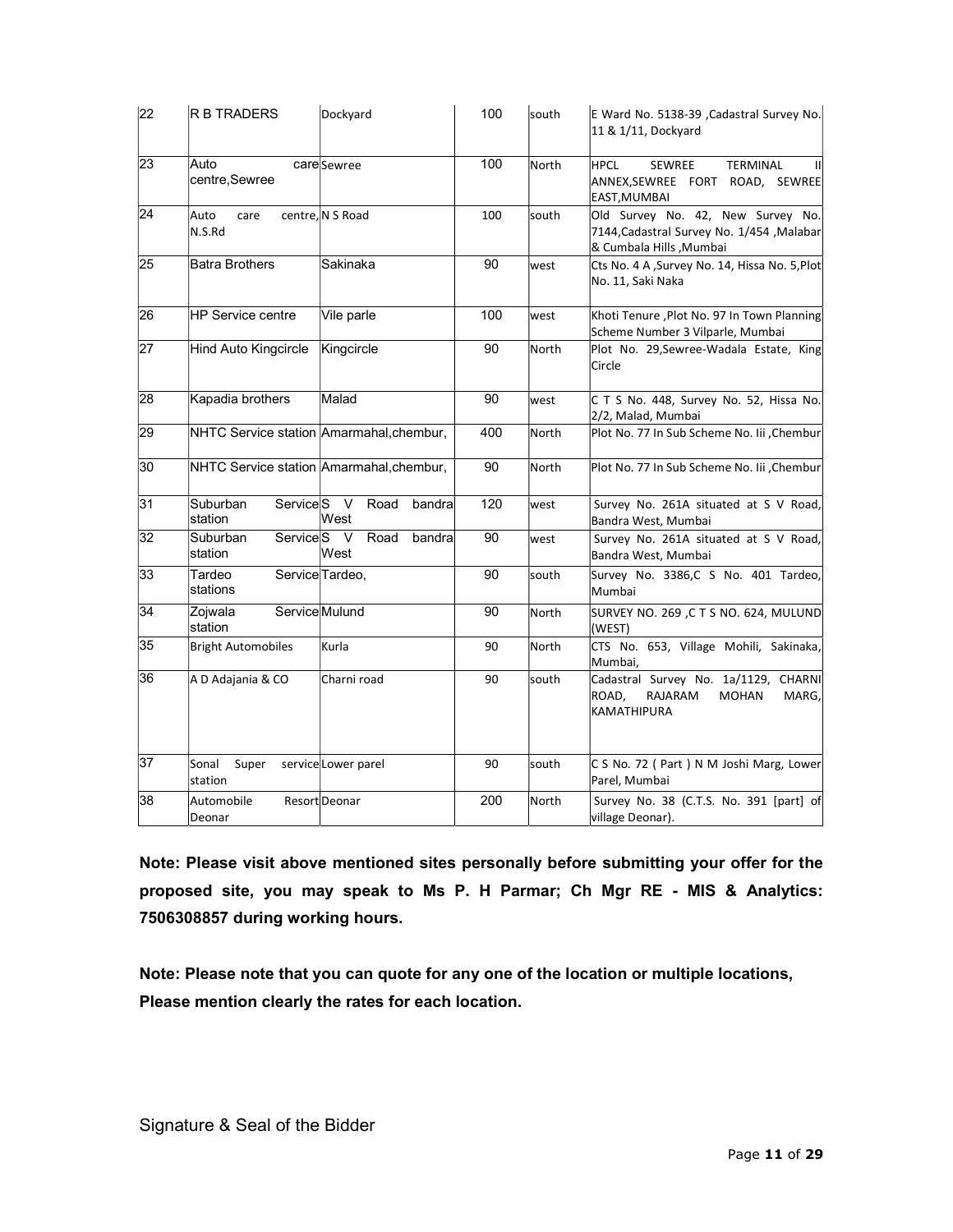| 22              | R B TRADERS                       | Dockyard                                 | 100 | south | E Ward No. 5138-39 , Cadastral Survey No.<br>11 & 1/11, Dockyard                                           |
|-----------------|-----------------------------------|------------------------------------------|-----|-------|------------------------------------------------------------------------------------------------------------|
| 23              | Auto<br>centre, Sewree            | care Sewree                              | 100 | North | <b>HPCL</b><br><b>SEWREE</b><br><b>TERMINAL</b><br>ANNEX,SEWREE FORT ROAD, SEWREE<br>EAST, MUMBAI          |
| $\overline{24}$ | Auto<br>care<br>N.S.Rd            | centre, N S Road                         | 100 | south | Old Survey No. 42, New Survey No.<br>7144, Cadastral Survey No. 1/454, Malabar<br>& Cumbala Hills , Mumbai |
| 25              | <b>Batra Brothers</b>             | Sakinaka                                 | 90  | west  | Cts No. 4 A , Survey No. 14, Hissa No. 5, Plot<br>No. 11, Saki Naka                                        |
| 26              | <b>HP Service centre</b>          | Vile parle                               | 100 | west  | Khoti Tenure , Plot No. 97 In Town Planning<br>Scheme Number 3 Vilparle, Mumbai                            |
| $\overline{27}$ | Hind Auto Kingcircle              | Kingcircle                               | 90  | North | Plot No. 29, Sewree-Wadala Estate, King<br>Circle                                                          |
| 28              | Kapadia brothers                  | Malad                                    | 90  | west  | C T S No. 448, Survey No. 52, Hissa No.<br>2/2, Malad, Mumbai                                              |
| 29              |                                   | NHTC Service station Amarmahal, chembur, | 400 | North | Plot No. 77 In Sub Scheme No. Iii , Chembur                                                                |
| 30              |                                   | NHTC Service station Amarmahal, chembur, | 90  | North | Plot No. 77 In Sub Scheme No. Iii , Chembur                                                                |
| 31              | ServiceS V<br>Suburban<br>station | Road<br>bandra<br>lWest                  | 120 | west  | Survey No. 261A situated at S V Road,<br>Bandra West, Mumbai                                               |
| 32              | ServiceS V<br>Suburban<br>station | Road<br>bandral<br>lWest                 | 90  | west  | Survey No. 261A situated at S V Road,<br>Bandra West, Mumbai                                               |
| 33              | Tardeo<br>stations                | Service Tardeo.                          | 90  | south | Survey No. 3386,C S No. 401 Tardeo,<br>Mumbai                                                              |
| 34              | Zojwala<br>station                | Service Mulund                           | 90  | North | SURVEY NO. 269, C T S NO. 624, MULUND<br>(WEST)                                                            |
| 35              | <b>Bright Automobiles</b>         | Kurla                                    | 90  | North | CTS No. 653, Village Mohili, Sakinaka,<br>Mumbai,                                                          |
| 36              | A D Adajania & CO                 | Charni road                              | 90  | south | Cadastral Survey No. 1a/1129, CHARNI<br>ROAD,<br>RAJARAM<br><b>MOHAN</b><br>MARG,<br>KAMATHIPURA           |
| 37              | Super<br>Sonal<br>station         | service Lower parel                      | 90  | south | C S No. 72 ( Part ) N M Joshi Marg, Lower<br>Parel, Mumbai                                                 |
| 38              | Automobile<br>Deonar              | Resort Deonar                            | 200 | North | Survey No. 38 (C.T.S. No. 391 [part] of<br>village Deonar).                                                |

Note: Please visit above mentioned sites personally before submitting your offer for the proposed site, you may speak to Ms P. H Parmar; Ch Mgr RE - MIS & Analytics: 7506308857 during working hours.

Note: Please note that you can quote for any one of the location or multiple locations, Please mention clearly the rates for each location.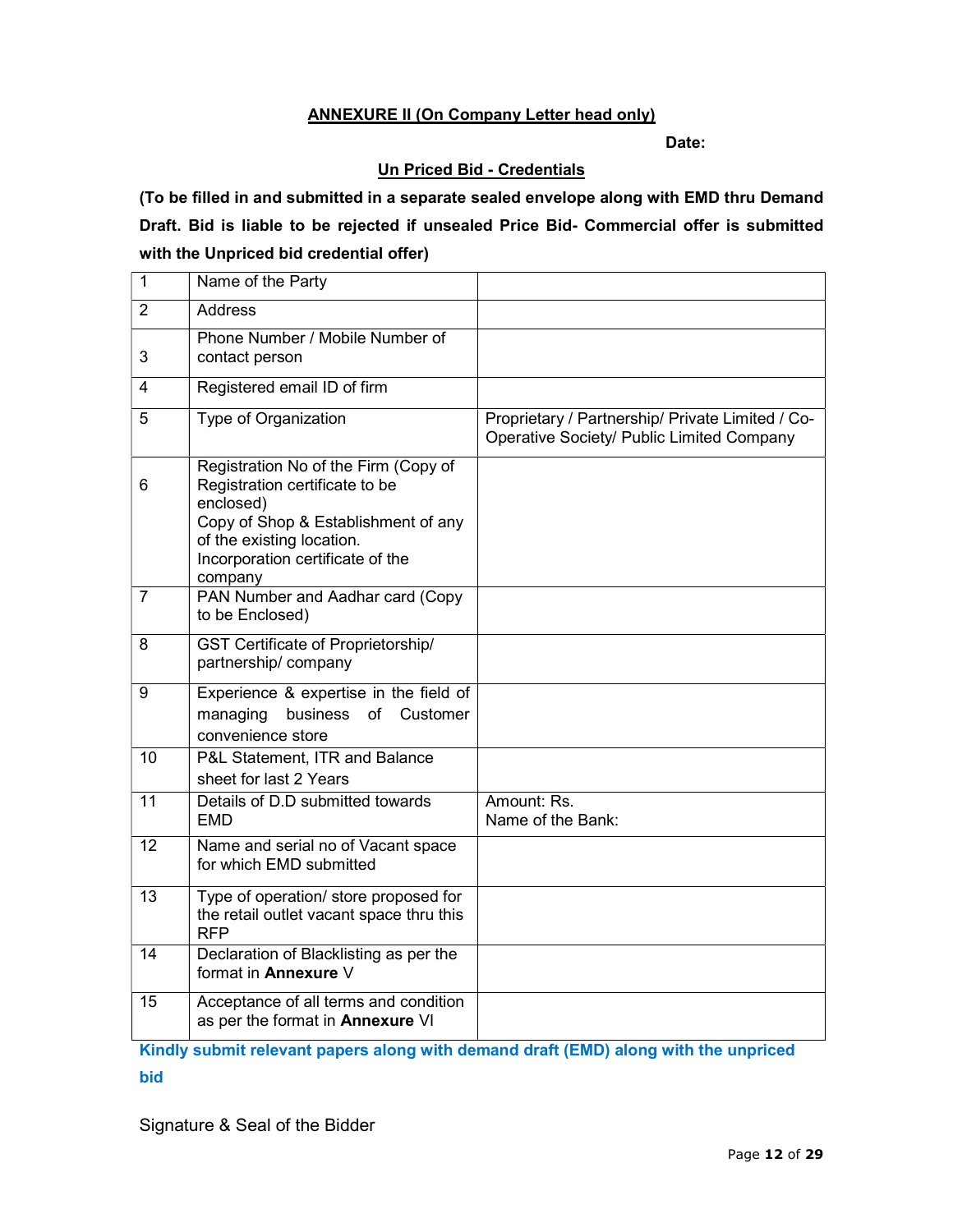## ANNEXURE II (On Company Letter head only)

Date:

## Un Priced Bid - Credentials

(To be filled in and submitted in a separate sealed envelope along with EMD thru Demand Draft. Bid is liable to be rejected if unsealed Price Bid- Commercial offer is submitted with the Unpriced bid credential offer)

| 1              | Name of the Party                                                                                                                                                                                      |                                                                                               |
|----------------|--------------------------------------------------------------------------------------------------------------------------------------------------------------------------------------------------------|-----------------------------------------------------------------------------------------------|
| 2              | Address                                                                                                                                                                                                |                                                                                               |
| 3              | Phone Number / Mobile Number of<br>contact person                                                                                                                                                      |                                                                                               |
| 4              | Registered email ID of firm                                                                                                                                                                            |                                                                                               |
| 5              | Type of Organization                                                                                                                                                                                   | Proprietary / Partnership/ Private Limited / Co-<br>Operative Society/ Public Limited Company |
| 6              | Registration No of the Firm (Copy of<br>Registration certificate to be<br>enclosed)<br>Copy of Shop & Establishment of any<br>of the existing location.<br>Incorporation certificate of the<br>company |                                                                                               |
| $\overline{7}$ | PAN Number and Aadhar card (Copy<br>to be Enclosed)                                                                                                                                                    |                                                                                               |
| 8              | <b>GST Certificate of Proprietorship/</b><br>partnership/company                                                                                                                                       |                                                                                               |
| 9              | Experience & expertise in the field of<br>managing<br>business of Customer<br>convenience store                                                                                                        |                                                                                               |
| 10             | P&L Statement, ITR and Balance<br>sheet for last 2 Years                                                                                                                                               |                                                                                               |
| 11             | Details of D.D submitted towards<br><b>EMD</b>                                                                                                                                                         | Amount: Rs.<br>Name of the Bank:                                                              |
| 12             | Name and serial no of Vacant space<br>for which EMD submitted                                                                                                                                          |                                                                                               |
| 13             | Type of operation/ store proposed for<br>the retail outlet vacant space thru this<br><b>RFP</b>                                                                                                        |                                                                                               |
| 14             | Declaration of Blacklisting as per the<br>format in Annexure V                                                                                                                                         |                                                                                               |
| 15             | Acceptance of all terms and condition<br>as per the format in <b>Annexure</b> VI                                                                                                                       |                                                                                               |

Kindly submit relevant papers along with demand draft (EMD) along with the unpriced bid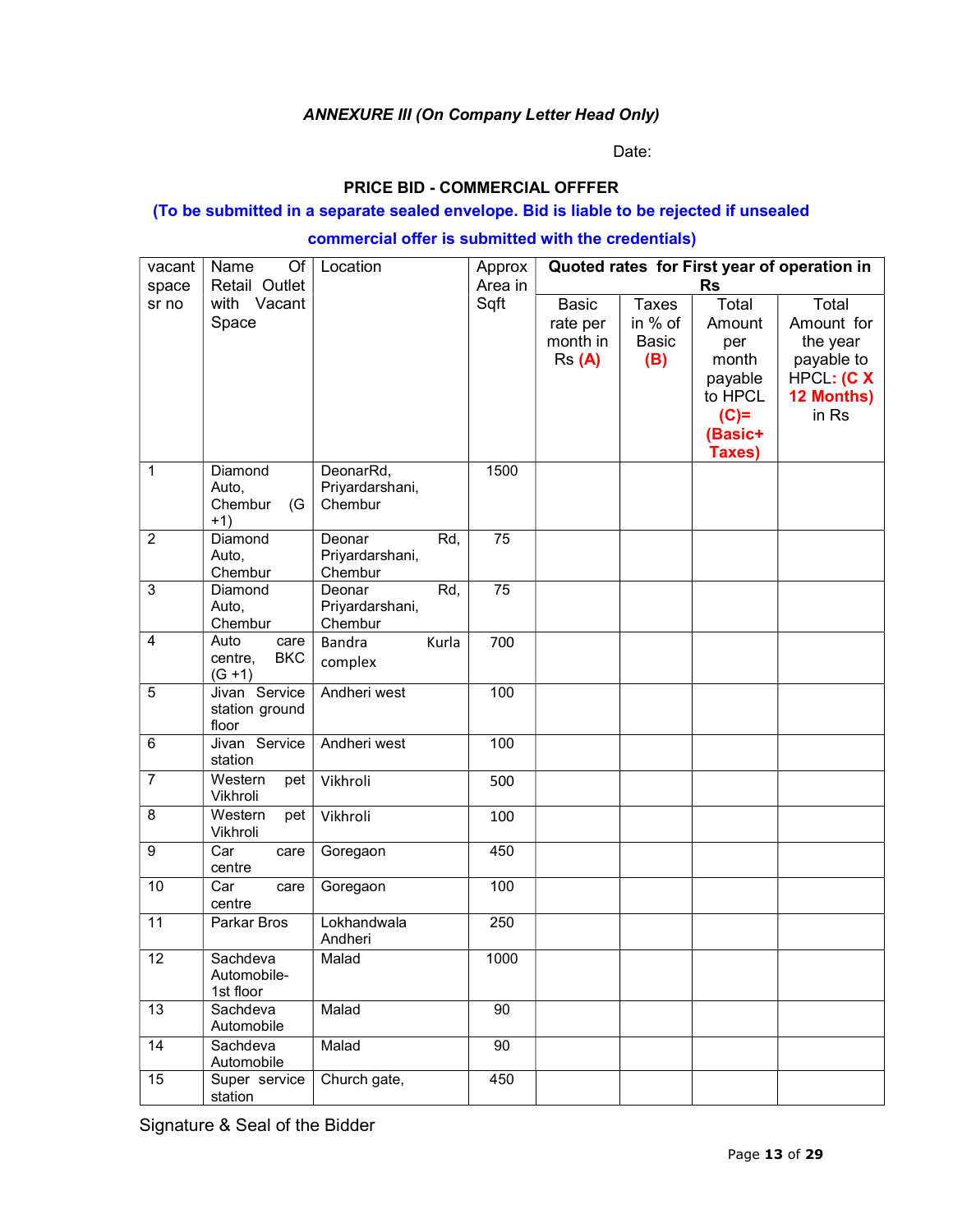# ANNEXURE III (On Company Letter Head Only)

discussion of the contract of the contract of the contract of the Date:

#### PRICE BID - COMMERCIAL OFFFER

# (To be submitted in a separate sealed envelope. Bid is liable to be rejected if unsealed

## commercial offer is submitted with the credentials)

| vacant          | Name<br>Of                            | Location                   | Approx                 | Quoted rates for First year of operation in |              |           |                   |
|-----------------|---------------------------------------|----------------------------|------------------------|---------------------------------------------|--------------|-----------|-------------------|
| space           | Retail Outlet                         |                            | Area in                |                                             |              | <b>Rs</b> |                   |
| sr no           | with Vacant                           |                            | Sqft                   | <b>Basic</b>                                | Taxes        | Total     | Total             |
|                 | Space                                 |                            |                        | rate per                                    | in % of      | Amount    | Amount for        |
|                 |                                       |                            |                        | month in                                    | <b>Basic</b> | per       | the year          |
|                 |                                       |                            |                        | Rs (A)                                      | (B)          | month     | payable to        |
|                 |                                       |                            |                        |                                             |              | payable   | HPCL: (CX         |
|                 |                                       |                            |                        |                                             |              | to HPCL   | <b>12 Months)</b> |
|                 |                                       |                            |                        |                                             |              | $(C)$ =   | in Rs             |
|                 |                                       |                            |                        |                                             |              | (Basic+   |                   |
|                 |                                       |                            |                        |                                             |              | Taxes)    |                   |
| $\mathbf 1$     | Diamond                               | DeonarRd,                  | 1500                   |                                             |              |           |                   |
|                 | Auto,<br>Chembur                      | Priyardarshani,<br>Chembur |                        |                                             |              |           |                   |
|                 | (G<br>$+1)$                           |                            |                        |                                             |              |           |                   |
| $\overline{2}$  | Diamond                               | Deonar                     | 75<br>Rd,              |                                             |              |           |                   |
|                 | Auto,                                 | Priyardarshani,            |                        |                                             |              |           |                   |
|                 | Chembur                               | Chembur                    |                        |                                             |              |           |                   |
| 3               | Diamond                               | Deonar                     | $\overline{75}$<br>Rd, |                                             |              |           |                   |
|                 | Auto,                                 | Priyardarshani,            |                        |                                             |              |           |                   |
|                 | Chembur                               | Chembur                    |                        |                                             |              |           |                   |
| 4               | Auto<br>care<br>centre,<br><b>BKC</b> | <b>Bandra</b><br>Kurla     | 700                    |                                             |              |           |                   |
|                 | $(G + 1)$                             | complex                    |                        |                                             |              |           |                   |
| 5               | Jivan Service                         | Andheri west               | 100                    |                                             |              |           |                   |
|                 | station ground                        |                            |                        |                                             |              |           |                   |
|                 | floor                                 |                            |                        |                                             |              |           |                   |
| 6               | Jivan Service                         | Andheri west               | 100                    |                                             |              |           |                   |
|                 | station                               |                            |                        |                                             |              |           |                   |
| $\overline{7}$  | Western<br>pet<br>Vikhroli            | Vikhroli                   | 500                    |                                             |              |           |                   |
| 8               | Western<br>pet                        | Vikhroli                   | 100                    |                                             |              |           |                   |
|                 | Vikhroli                              |                            |                        |                                             |              |           |                   |
| $\overline{9}$  | Car<br>care                           | Goregaon                   | 450                    |                                             |              |           |                   |
|                 | centre                                |                            |                        |                                             |              |           |                   |
| 10              | Car<br>care                           | Goregaon                   | 100                    |                                             |              |           |                   |
|                 | centre                                |                            |                        |                                             |              |           |                   |
| 11              | Parkar Bros                           | Lokhandwala                | 250                    |                                             |              |           |                   |
|                 |                                       | Andheri                    |                        |                                             |              |           |                   |
| 12              | Sachdeva<br>Automobile-               | Malad                      | 1000                   |                                             |              |           |                   |
|                 | 1st floor                             |                            |                        |                                             |              |           |                   |
| $\overline{13}$ | Sachdeva                              | Malad                      | $\overline{90}$        |                                             |              |           |                   |
|                 | Automobile                            |                            |                        |                                             |              |           |                   |
| 14              | Sachdeva                              | Malad                      | 90                     |                                             |              |           |                   |
|                 | Automobile                            |                            |                        |                                             |              |           |                   |
| 15              | Super service                         | Church gate,               | 450                    |                                             |              |           |                   |
|                 | station                               |                            |                        |                                             |              |           |                   |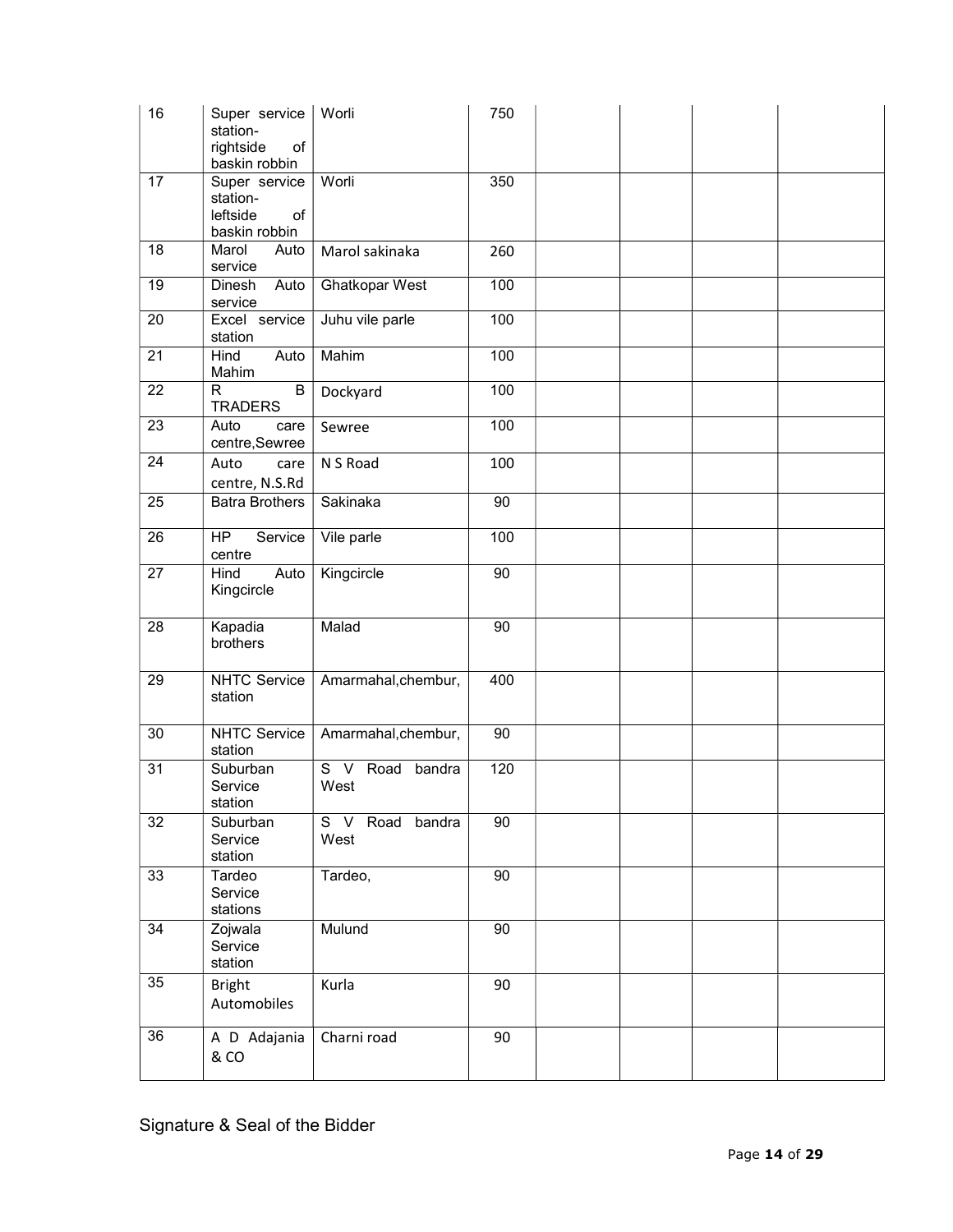| 16              | Super service<br>station-<br>rightside<br>of<br>baskin robbin | Worli                         | 750 |  |  |
|-----------------|---------------------------------------------------------------|-------------------------------|-----|--|--|
| 17              | Super service<br>station-<br>leftside<br>of<br>baskin robbin  | Worli                         | 350 |  |  |
| 18              | Marol<br>Auto<br>service                                      | Marol sakinaka                | 260 |  |  |
| 19              | Dinesh<br>Auto<br>service                                     | Ghatkopar West                | 100 |  |  |
| 20              | Excel service<br>station                                      | Juhu vile parle               | 100 |  |  |
| 21              | Hind<br>Auto<br>Mahim                                         | Mahim                         | 100 |  |  |
| $\overline{22}$ | $\overline{R}$<br>B<br><b>TRADERS</b>                         | Dockyard                      | 100 |  |  |
| 23              | Auto<br>care<br>centre, Sewree                                | Sewree                        | 100 |  |  |
| 24              | Auto<br>care<br>centre, N.S.Rd                                | N S Road                      | 100 |  |  |
| 25              | <b>Batra Brothers</b>                                         | Sakinaka                      | 90  |  |  |
| 26              | <b>HP</b><br>Service<br>centre                                | Vile parle                    | 100 |  |  |
| $\overline{27}$ | <b>Hind</b><br>Auto<br>Kingcircle                             | Kingcircle                    | 90  |  |  |
| 28              | Kapadia<br>brothers                                           | Malad                         | 90  |  |  |
| 29              | <b>NHTC Service</b><br>station                                | Amarmahal, chembur,           | 400 |  |  |
| $\overline{30}$ | <b>NHTC Service</b><br>station                                | Amarmahal, chembur,           | 90  |  |  |
| $\overline{31}$ | Suburban<br>Service<br>station                                | S V<br>Road<br>bandra<br>West | 120 |  |  |
| 32              | Suburban<br>Service<br>station                                | S V<br>Road bandra<br>West    | 90  |  |  |
| 33              | Tardeo<br>Service<br>stations                                 | Tardeo,                       | 90  |  |  |
| $\overline{34}$ | Zojwala<br>Service<br>station                                 | Mulund                        | 90  |  |  |
| 35              | <b>Bright</b><br>Automobiles                                  | Kurla                         | 90  |  |  |
| 36              | A D Adajania<br>& CO                                          | Charni road                   | 90  |  |  |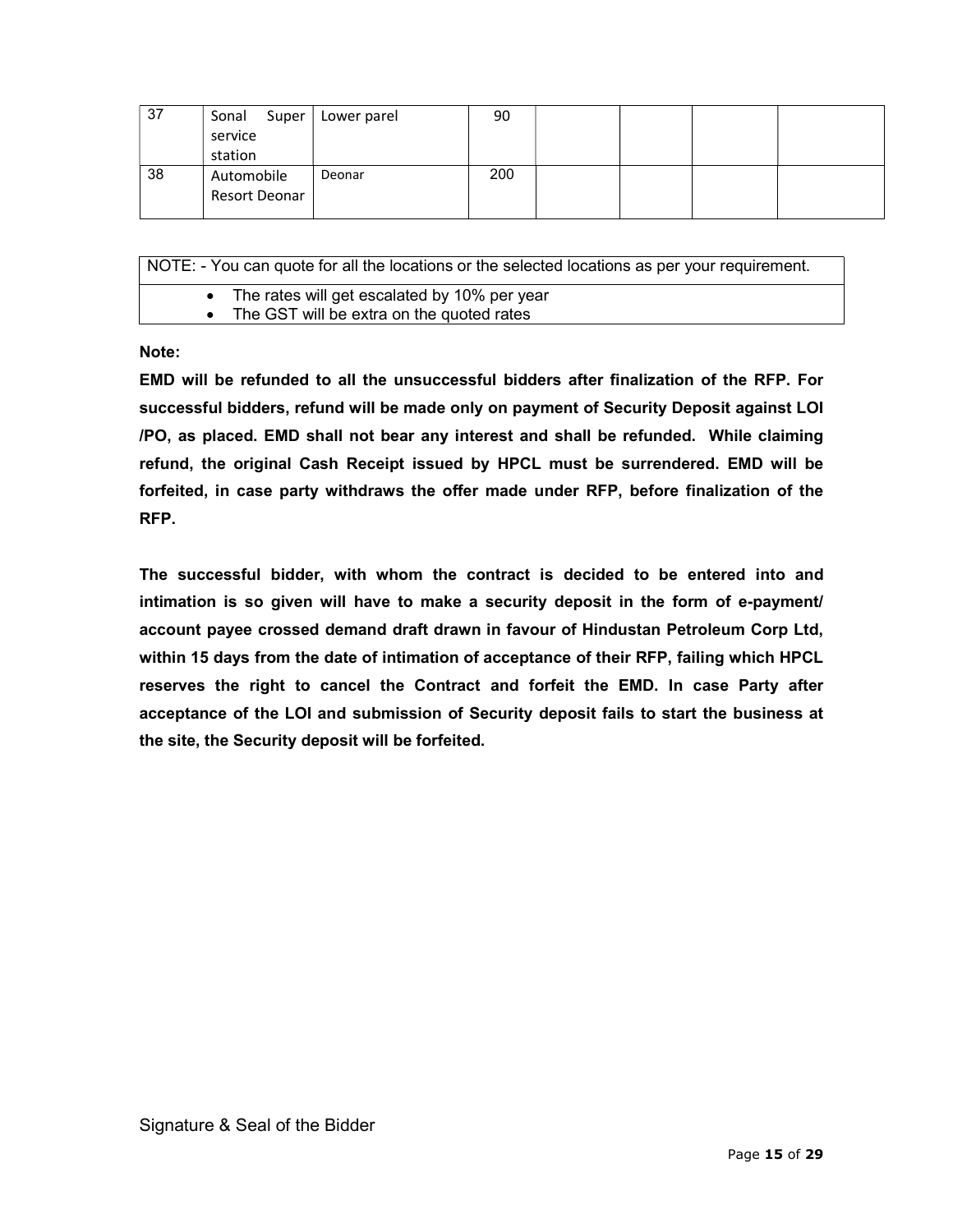| 37 | Super<br>Sonal | Lower parel | 90  |  |  |
|----|----------------|-------------|-----|--|--|
|    | service        |             |     |  |  |
|    | station        |             |     |  |  |
| 38 | Automobile     | Deonar      | 200 |  |  |
|    | Resort Deonar  |             |     |  |  |
|    |                |             |     |  |  |

NOTE: - You can quote for all the locations or the selected locations as per your requirement.

• The rates will get escalated by 10% per year

• The GST will be extra on the quoted rates

#### Note:

EMD will be refunded to all the unsuccessful bidders after finalization of the RFP. For successful bidders, refund will be made only on payment of Security Deposit against LOI /PO, as placed. EMD shall not bear any interest and shall be refunded. While claiming refund, the original Cash Receipt issued by HPCL must be surrendered. EMD will be forfeited, in case party withdraws the offer made under RFP, before finalization of the RFP.

The successful bidder, with whom the contract is decided to be entered into and intimation is so given will have to make a security deposit in the form of e-payment/ account payee crossed demand draft drawn in favour of Hindustan Petroleum Corp Ltd, within 15 days from the date of intimation of acceptance of their RFP, failing which HPCL reserves the right to cancel the Contract and forfeit the EMD. In case Party after acceptance of the LOI and submission of Security deposit fails to start the business at the site, the Security deposit will be forfeited.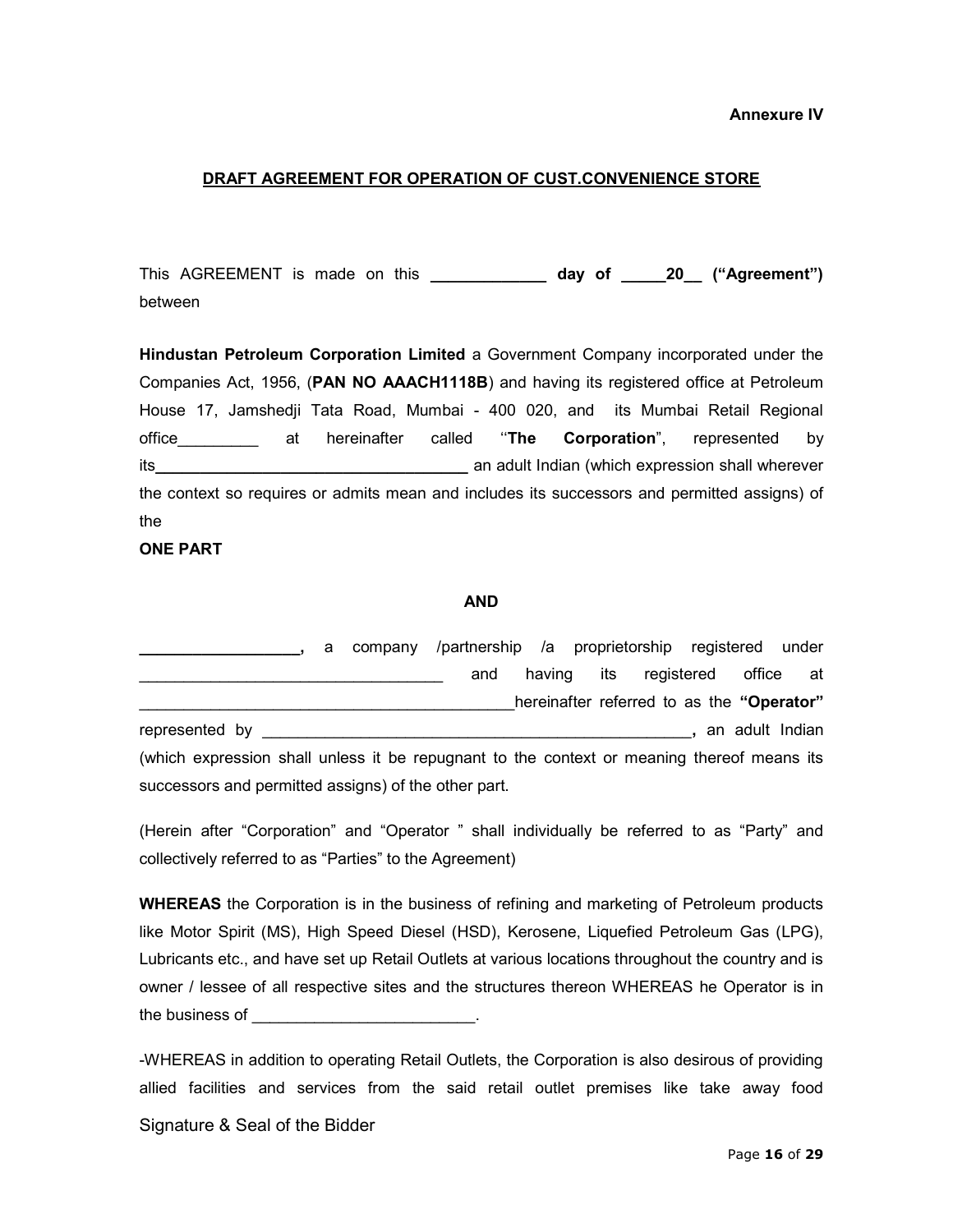Annexure IV

#### DRAFT AGREEMENT FOR OPERATION OF CUST.CONVENIENCE STORE

This AGREEMENT is made on this \_\_\_\_\_\_\_\_\_\_\_\_\_ day of \_\_\_\_\_20\_\_ ("Agreement") between

Hindustan Petroleum Corporation Limited a Government Company incorporated under the Companies Act, 1956, (PAN NO AAACH1118B) and having its registered office at Petroleum House 17, Jamshedji Tata Road, Mumbai - 400 020, and its Mumbai Retail Regional office and at hereinafter called "The Corporation", represented by its\_\_\_\_\_\_\_\_\_\_\_\_\_\_\_\_\_\_\_\_\_\_\_\_\_\_\_\_\_\_\_\_\_\_\_ an adult Indian (which expression shall wherever the context so requires or admits mean and includes its successors and permitted assigns) of the

## ONE PART

#### AND

\_\_\_\_\_\_\_\_\_\_\_\_\_\_\_\_\_\_, a company /partnership /a proprietorship registered under and having its registered office at hereinafter referred to as the "Operator" represented by **the contract of the contract of the contract of the contract of the contract of the contract of** (which expression shall unless it be repugnant to the context or meaning thereof means its successors and permitted assigns) of the other part.

(Herein after "Corporation" and "Operator " shall individually be referred to as "Party" and collectively referred to as "Parties" to the Agreement)

WHEREAS the Corporation is in the business of refining and marketing of Petroleum products like Motor Spirit (MS), High Speed Diesel (HSD), Kerosene, Liquefied Petroleum Gas (LPG), Lubricants etc., and have set up Retail Outlets at various locations throughout the country and is owner / lessee of all respective sites and the structures thereon WHEREAS he Operator is in the business of  $\blacksquare$ 

-WHEREAS in addition to operating Retail Outlets, the Corporation is also desirous of providing allied facilities and services from the said retail outlet premises like take away food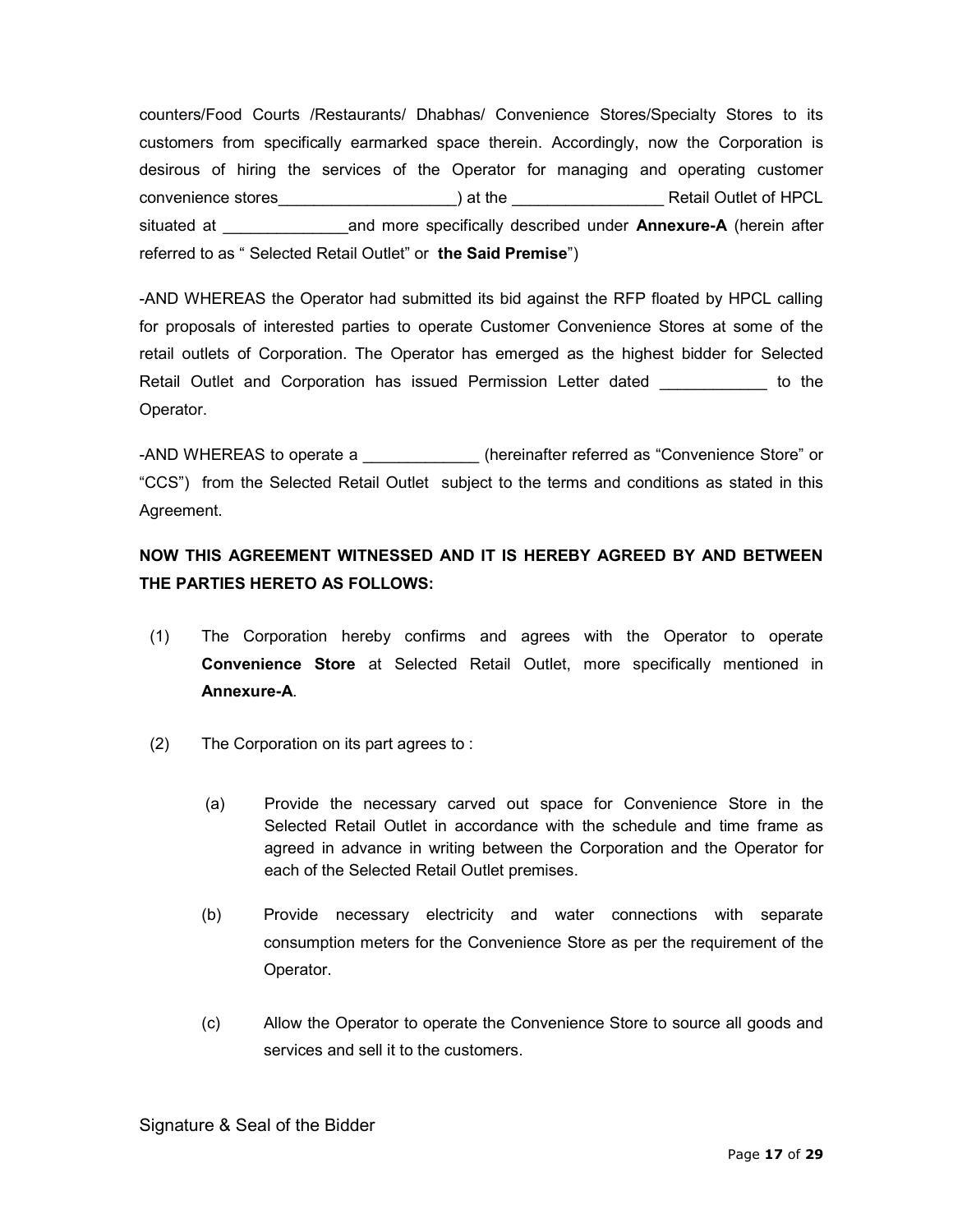counters/Food Courts /Restaurants/ Dhabhas/ Convenience Stores/Specialty Stores to its customers from specifically earmarked space therein. Accordingly, now the Corporation is desirous of hiring the services of the Operator for managing and operating customer convenience stores example and the convenience stores and the convenience of HPCL situated at **Exercice 1 and more specifically described under Annexure-A** (herein after referred to as " Selected Retail Outlet" or the Said Premise")

-AND WHEREAS the Operator had submitted its bid against the RFP floated by HPCL calling for proposals of interested parties to operate Customer Convenience Stores at some of the retail outlets of Corporation. The Operator has emerged as the highest bidder for Selected Retail Outlet and Corporation has issued Permission Letter dated \_\_\_\_\_\_\_\_\_\_\_\_ to the Operator.

-AND WHEREAS to operate a \_\_\_\_\_\_\_\_\_\_\_\_\_ (hereinafter referred as "Convenience Store" or "CCS") from the Selected Retail Outlet subject to the terms and conditions as stated in this Agreement.

# NOW THIS AGREEMENT WITNESSED AND IT IS HEREBY AGREED BY AND BETWEEN THE PARTIES HERETO AS FOLLOWS:

- (1) The Corporation hereby confirms and agrees with the Operator to operate Convenience Store at Selected Retail Outlet, more specifically mentioned in Annexure-A.
- (2) The Corporation on its part agrees to :
	- (a) Provide the necessary carved out space for Convenience Store in the Selected Retail Outlet in accordance with the schedule and time frame as agreed in advance in writing between the Corporation and the Operator for each of the Selected Retail Outlet premises.
	- (b) Provide necessary electricity and water connections with separate consumption meters for the Convenience Store as per the requirement of the Operator.
	- (c) Allow the Operator to operate the Convenience Store to source all goods and services and sell it to the customers.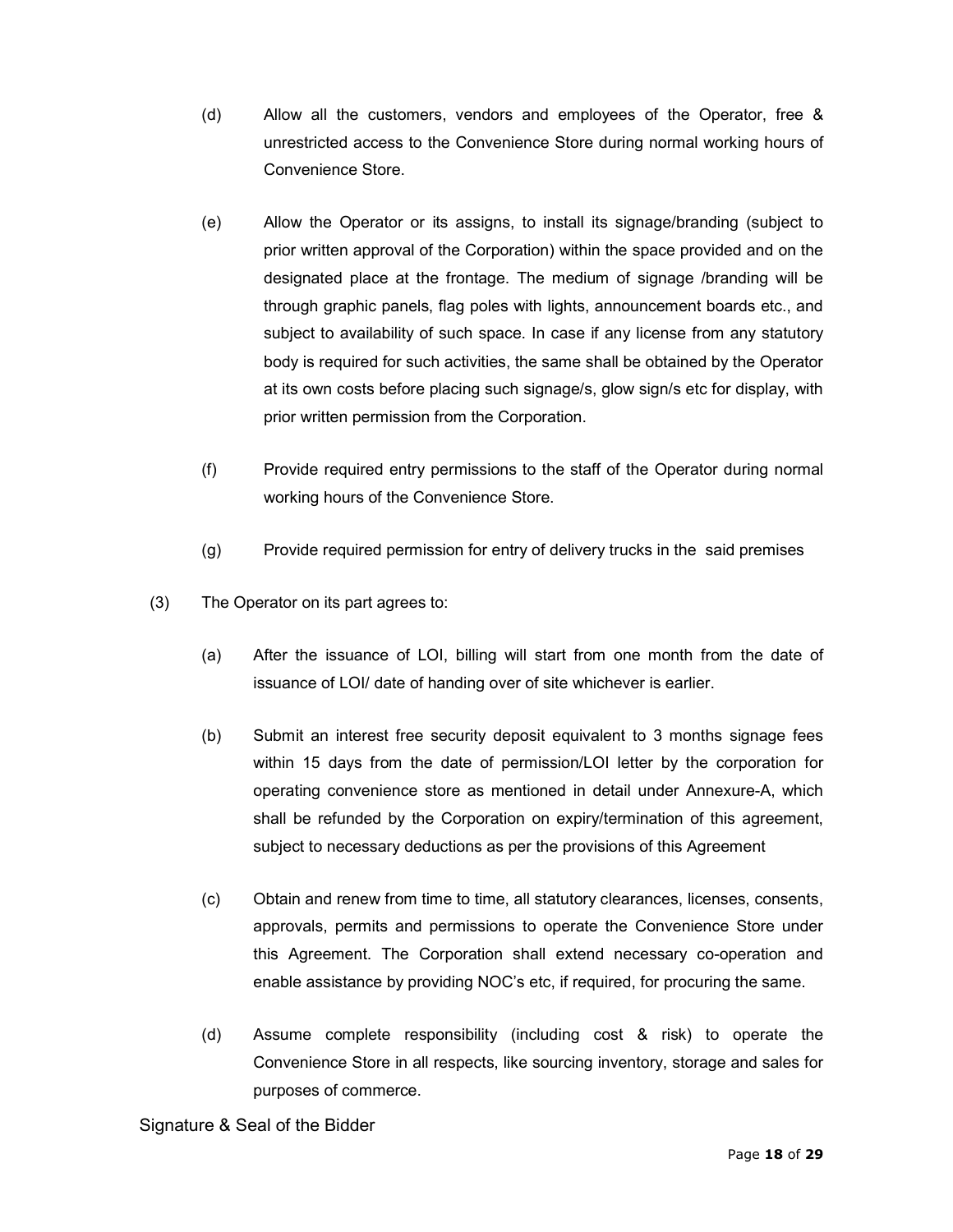- (d) Allow all the customers, vendors and employees of the Operator, free & unrestricted access to the Convenience Store during normal working hours of Convenience Store.
- (e) Allow the Operator or its assigns, to install its signage/branding (subject to prior written approval of the Corporation) within the space provided and on the designated place at the frontage. The medium of signage /branding will be through graphic panels, flag poles with lights, announcement boards etc., and subject to availability of such space. In case if any license from any statutory body is required for such activities, the same shall be obtained by the Operator at its own costs before placing such signage/s, glow sign/s etc for display, with prior written permission from the Corporation.
- (f) Provide required entry permissions to the staff of the Operator during normal working hours of the Convenience Store.
- (g) Provide required permission for entry of delivery trucks in the said premises
- (3) The Operator on its part agrees to:
	- (a) After the issuance of LOI, billing will start from one month from the date of issuance of LOI/ date of handing over of site whichever is earlier.
	- (b) Submit an interest free security deposit equivalent to 3 months signage fees within 15 days from the date of permission/LOI letter by the corporation for operating convenience store as mentioned in detail under Annexure-A, which shall be refunded by the Corporation on expiry/termination of this agreement, subject to necessary deductions as per the provisions of this Agreement
	- (c) Obtain and renew from time to time, all statutory clearances, licenses, consents, approvals, permits and permissions to operate the Convenience Store under this Agreement. The Corporation shall extend necessary co-operation and enable assistance by providing NOC's etc, if required, for procuring the same.
	- (d) Assume complete responsibility (including cost & risk) to operate the Convenience Store in all respects, like sourcing inventory, storage and sales for purposes of commerce.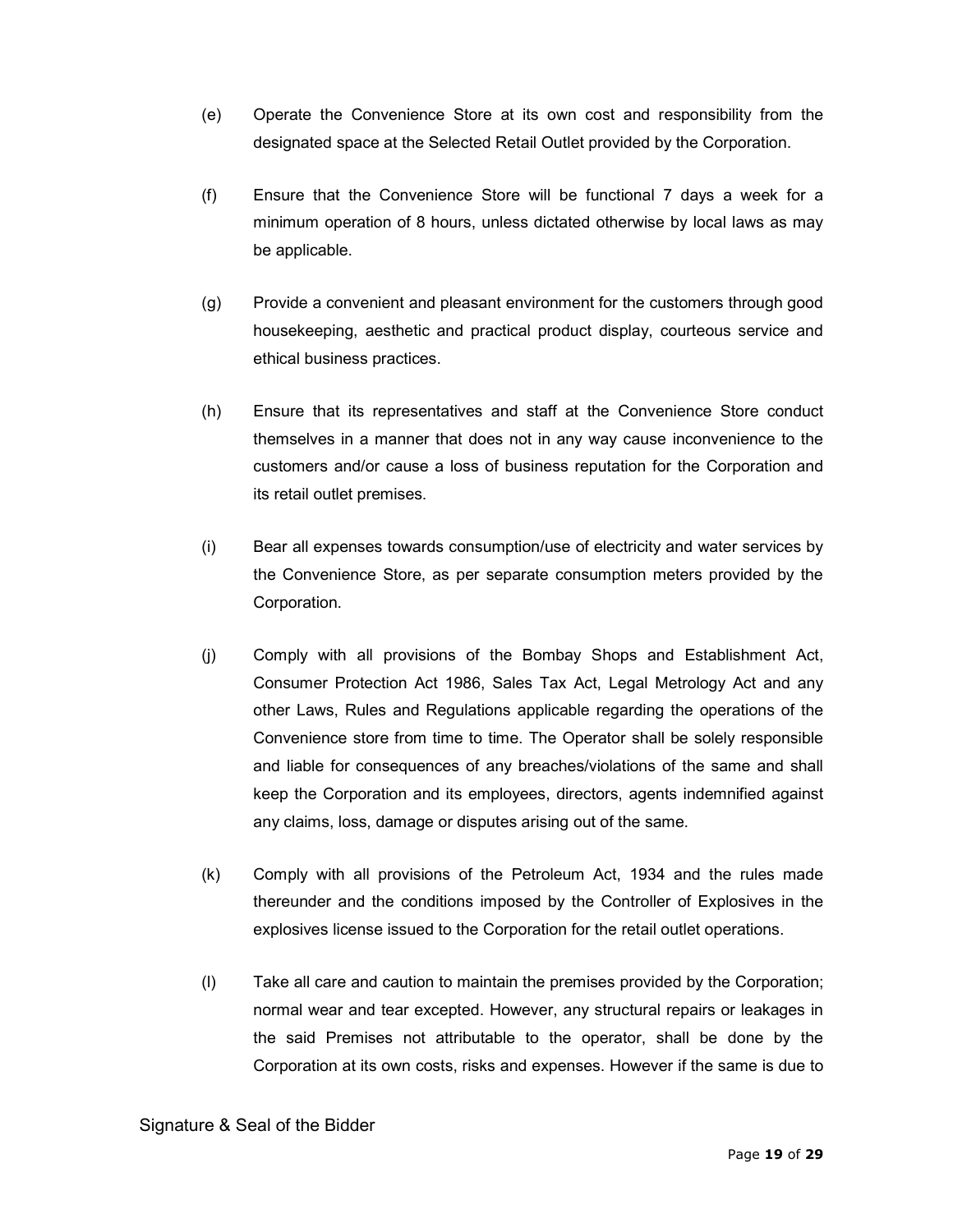- (e) Operate the Convenience Store at its own cost and responsibility from the designated space at the Selected Retail Outlet provided by the Corporation.
- (f) Ensure that the Convenience Store will be functional 7 days a week for a minimum operation of 8 hours, unless dictated otherwise by local laws as may be applicable.
- (g) Provide a convenient and pleasant environment for the customers through good housekeeping, aesthetic and practical product display, courteous service and ethical business practices.
- (h) Ensure that its representatives and staff at the Convenience Store conduct themselves in a manner that does not in any way cause inconvenience to the customers and/or cause a loss of business reputation for the Corporation and its retail outlet premises.
- (i) Bear all expenses towards consumption/use of electricity and water services by the Convenience Store, as per separate consumption meters provided by the Corporation.
- (j) Comply with all provisions of the Bombay Shops and Establishment Act, Consumer Protection Act 1986, Sales Tax Act, Legal Metrology Act and any other Laws, Rules and Regulations applicable regarding the operations of the Convenience store from time to time. The Operator shall be solely responsible and liable for consequences of any breaches/violations of the same and shall keep the Corporation and its employees, directors, agents indemnified against any claims, loss, damage or disputes arising out of the same.
- (k) Comply with all provisions of the Petroleum Act, 1934 and the rules made thereunder and the conditions imposed by the Controller of Explosives in the explosives license issued to the Corporation for the retail outlet operations.
- (l) Take all care and caution to maintain the premises provided by the Corporation; normal wear and tear excepted. However, any structural repairs or leakages in the said Premises not attributable to the operator, shall be done by the Corporation at its own costs, risks and expenses. However if the same is due to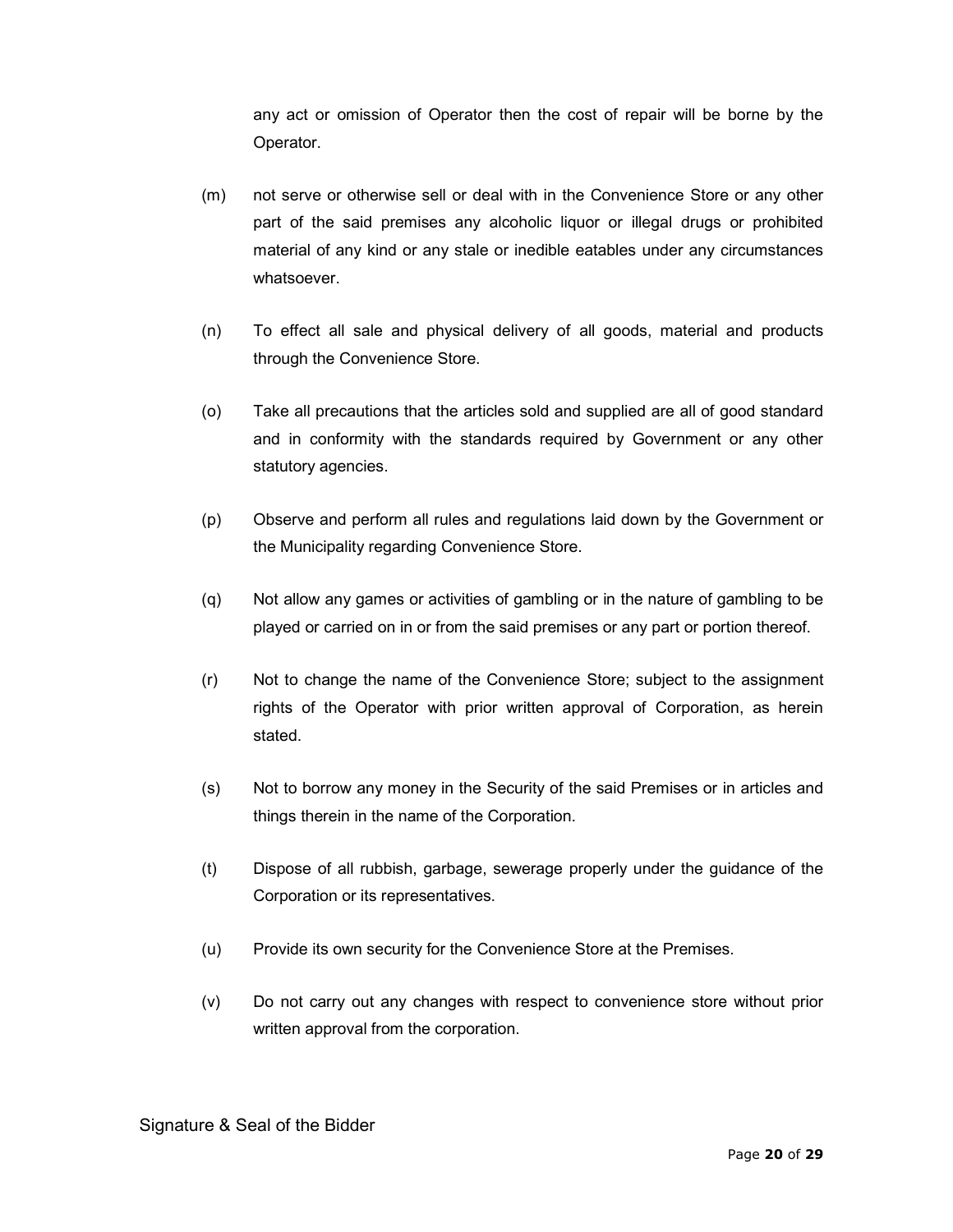any act or omission of Operator then the cost of repair will be borne by the Operator.

- (m) not serve or otherwise sell or deal with in the Convenience Store or any other part of the said premises any alcoholic liquor or illegal drugs or prohibited material of any kind or any stale or inedible eatables under any circumstances whatsoever.
- (n) To effect all sale and physical delivery of all goods, material and products through the Convenience Store.
- (o) Take all precautions that the articles sold and supplied are all of good standard and in conformity with the standards required by Government or any other statutory agencies.
- (p) Observe and perform all rules and regulations laid down by the Government or the Municipality regarding Convenience Store.
- (q) Not allow any games or activities of gambling or in the nature of gambling to be played or carried on in or from the said premises or any part or portion thereof.
- (r) Not to change the name of the Convenience Store; subject to the assignment rights of the Operator with prior written approval of Corporation, as herein stated.
- (s) Not to borrow any money in the Security of the said Premises or in articles and things therein in the name of the Corporation.
- (t) Dispose of all rubbish, garbage, sewerage properly under the guidance of the Corporation or its representatives.
- (u) Provide its own security for the Convenience Store at the Premises.
- (v) Do not carry out any changes with respect to convenience store without prior written approval from the corporation.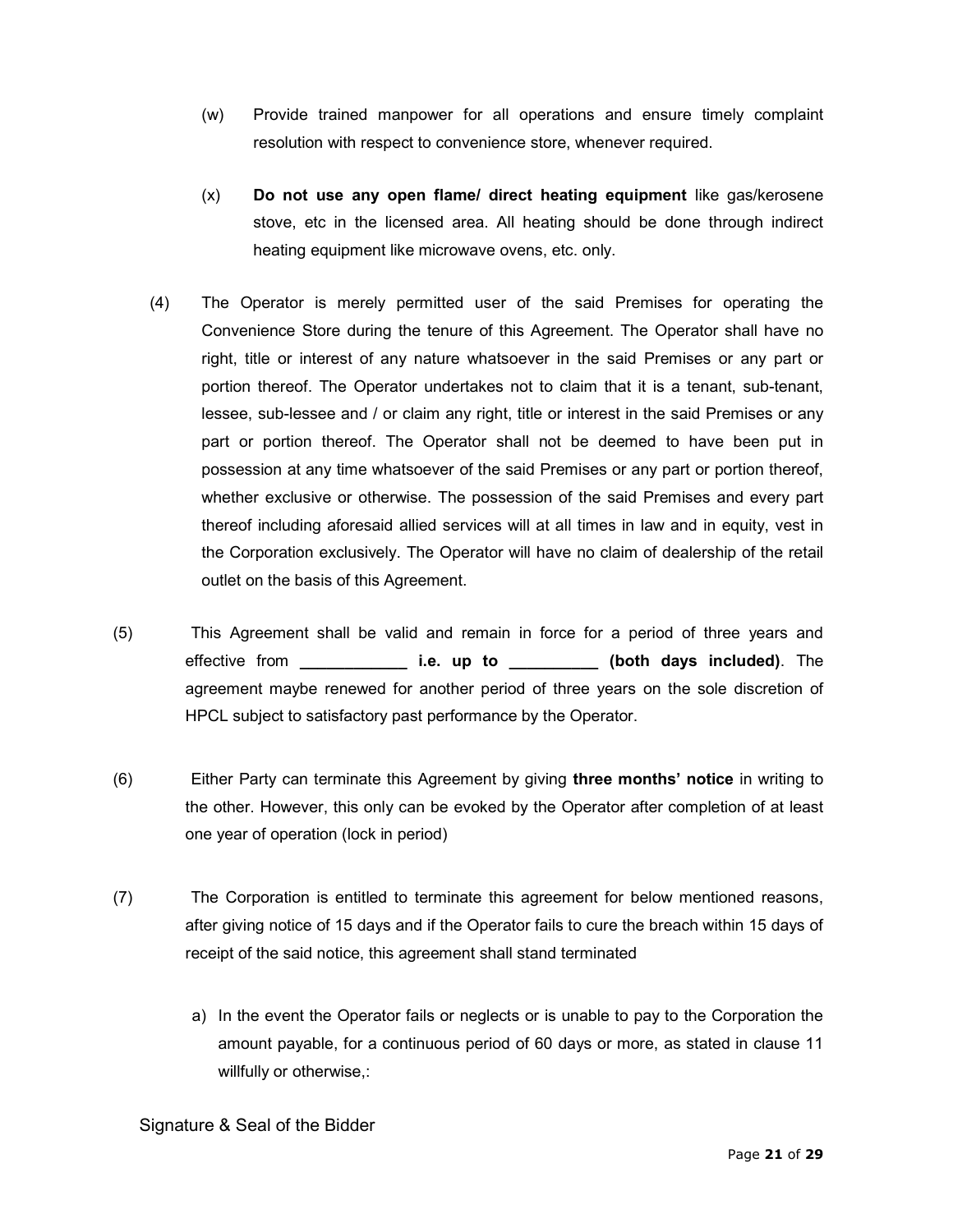- (w) Provide trained manpower for all operations and ensure timely complaint resolution with respect to convenience store, whenever required.
- (x) Do not use any open flame/ direct heating equipment like gas/kerosene stove, etc in the licensed area. All heating should be done through indirect heating equipment like microwave ovens, etc. only.
- (4) The Operator is merely permitted user of the said Premises for operating the Convenience Store during the tenure of this Agreement. The Operator shall have no right, title or interest of any nature whatsoever in the said Premises or any part or portion thereof. The Operator undertakes not to claim that it is a tenant, sub-tenant, lessee, sub-lessee and / or claim any right, title or interest in the said Premises or any part or portion thereof. The Operator shall not be deemed to have been put in possession at any time whatsoever of the said Premises or any part or portion thereof, whether exclusive or otherwise. The possession of the said Premises and every part thereof including aforesaid allied services will at all times in law and in equity, vest in the Corporation exclusively. The Operator will have no claim of dealership of the retail outlet on the basis of this Agreement.
- (5) This Agreement shall be valid and remain in force for a period of three years and effective from \_\_\_\_\_\_\_\_\_\_\_\_\_\_\_\_\_ i.e. up to \_\_\_\_\_\_\_\_\_\_\_\_ (both days included). The agreement maybe renewed for another period of three years on the sole discretion of HPCL subject to satisfactory past performance by the Operator.
- (6) Either Party can terminate this Agreement by giving three months' notice in writing to the other. However, this only can be evoked by the Operator after completion of at least one year of operation (lock in period)
- (7) The Corporation is entitled to terminate this agreement for below mentioned reasons, after giving notice of 15 days and if the Operator fails to cure the breach within 15 days of receipt of the said notice, this agreement shall stand terminated
	- a) In the event the Operator fails or neglects or is unable to pay to the Corporation the amount payable, for a continuous period of 60 days or more, as stated in clause 11 willfully or otherwise,: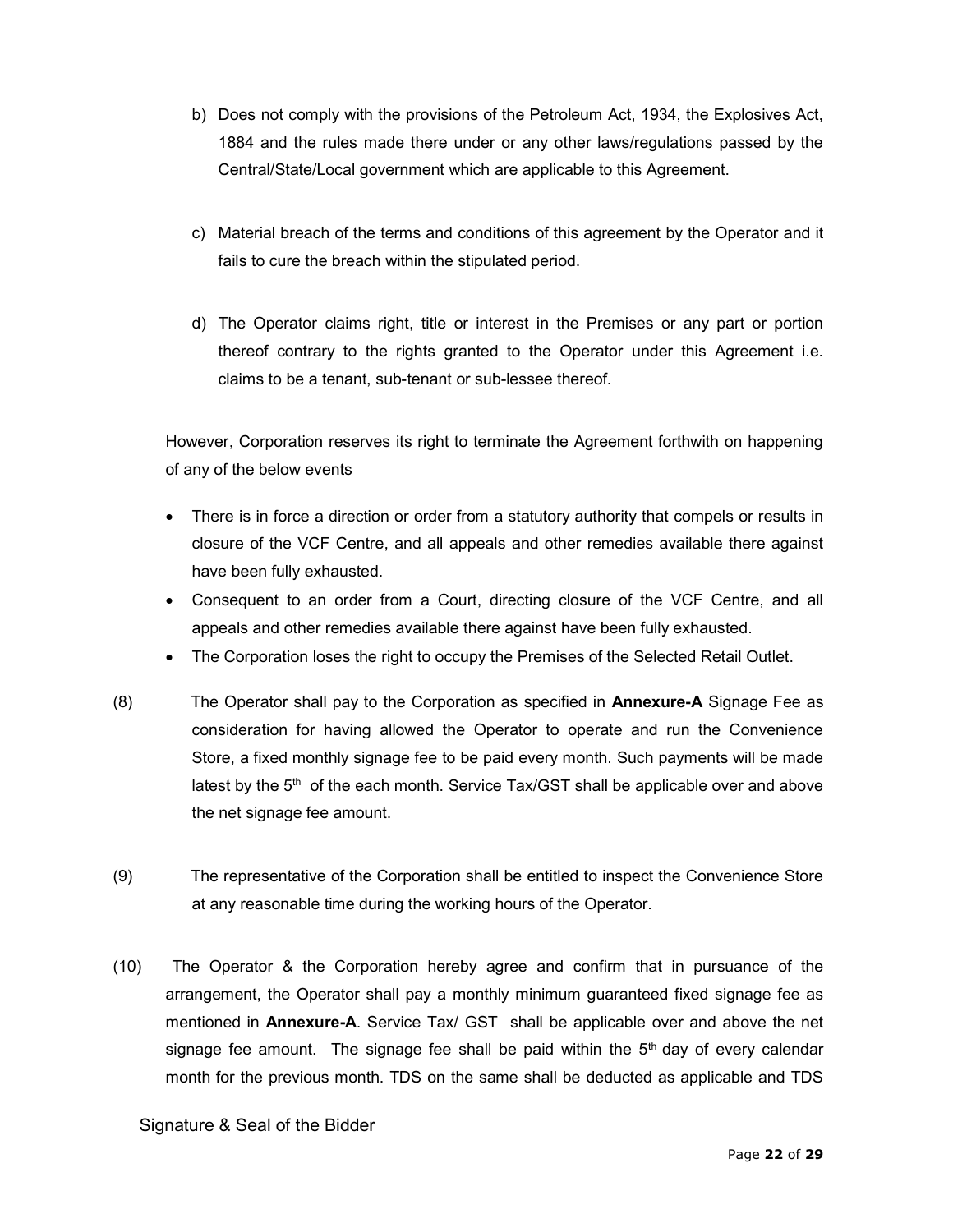- b) Does not comply with the provisions of the Petroleum Act, 1934, the Explosives Act, 1884 and the rules made there under or any other laws/regulations passed by the Central/State/Local government which are applicable to this Agreement.
- c) Material breach of the terms and conditions of this agreement by the Operator and it fails to cure the breach within the stipulated period.
- d) The Operator claims right, title or interest in the Premises or any part or portion thereof contrary to the rights granted to the Operator under this Agreement i.e. claims to be a tenant, sub-tenant or sub-lessee thereof.

However, Corporation reserves its right to terminate the Agreement forthwith on happening of any of the below events

- There is in force a direction or order from a statutory authority that compels or results in closure of the VCF Centre, and all appeals and other remedies available there against have been fully exhausted.
- Consequent to an order from a Court, directing closure of the VCF Centre, and all appeals and other remedies available there against have been fully exhausted.
- The Corporation loses the right to occupy the Premises of the Selected Retail Outlet.
- (8) The Operator shall pay to the Corporation as specified in **Annexure-A** Signage Fee as consideration for having allowed the Operator to operate and run the Convenience Store, a fixed monthly signage fee to be paid every month. Such payments will be made latest by the  $5<sup>th</sup>$  of the each month. Service Tax/GST shall be applicable over and above the net signage fee amount.
- (9) The representative of the Corporation shall be entitled to inspect the Convenience Store at any reasonable time during the working hours of the Operator.
- (10) The Operator & the Corporation hereby agree and confirm that in pursuance of the arrangement, the Operator shall pay a monthly minimum guaranteed fixed signage fee as mentioned in Annexure-A. Service Tax/ GST shall be applicable over and above the net signage fee amount. The signage fee shall be paid within the  $5<sup>th</sup>$  day of every calendar month for the previous month. TDS on the same shall be deducted as applicable and TDS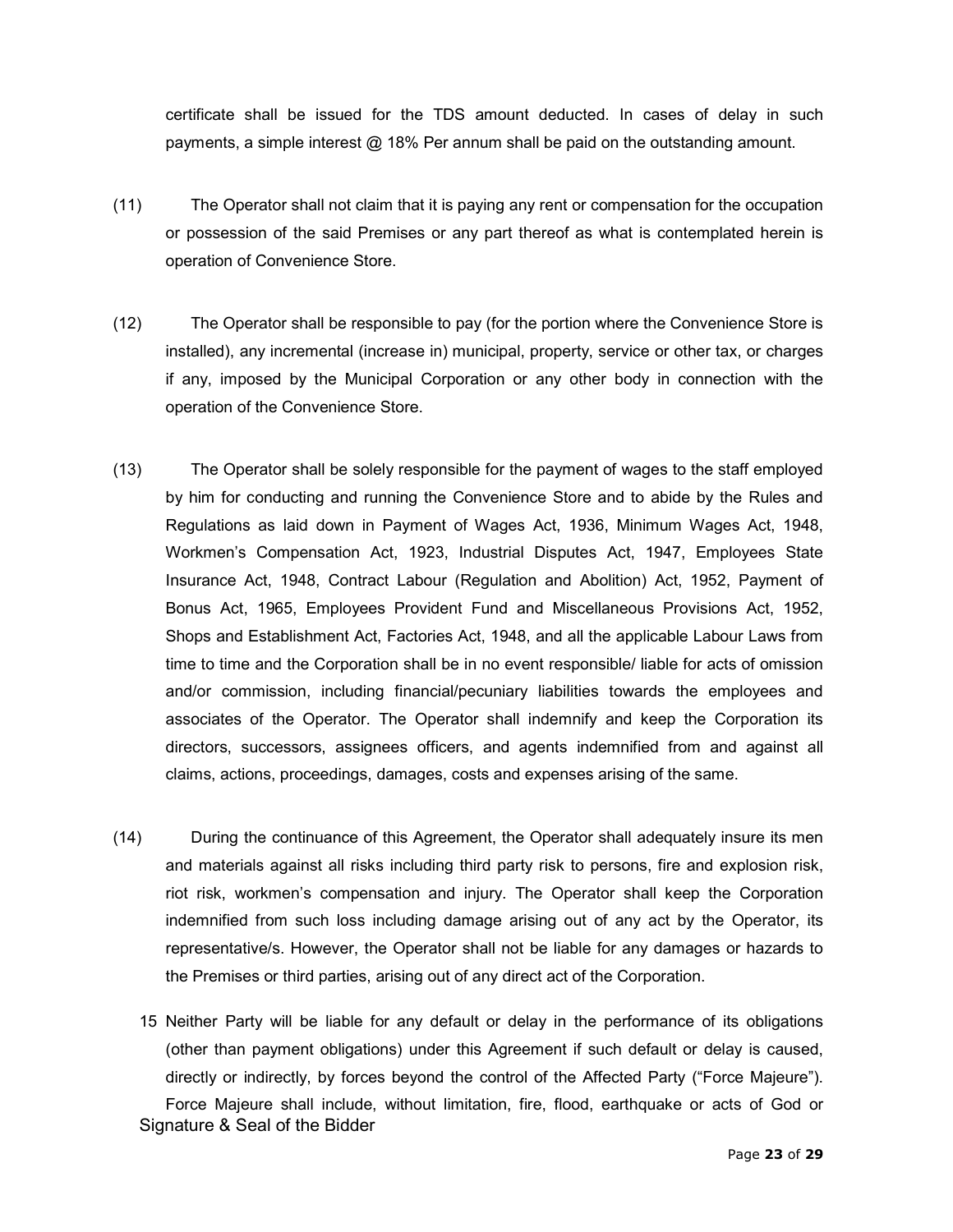certificate shall be issued for the TDS amount deducted. In cases of delay in such payments, a simple interest @ 18% Per annum shall be paid on the outstanding amount.

- (11) The Operator shall not claim that it is paying any rent or compensation for the occupation or possession of the said Premises or any part thereof as what is contemplated herein is operation of Convenience Store.
- (12) The Operator shall be responsible to pay (for the portion where the Convenience Store is installed), any incremental (increase in) municipal, property, service or other tax, or charges if any, imposed by the Municipal Corporation or any other body in connection with the operation of the Convenience Store.
- (13) The Operator shall be solely responsible for the payment of wages to the staff employed by him for conducting and running the Convenience Store and to abide by the Rules and Regulations as laid down in Payment of Wages Act, 1936, Minimum Wages Act, 1948, Workmen's Compensation Act, 1923, Industrial Disputes Act, 1947, Employees State Insurance Act, 1948, Contract Labour (Regulation and Abolition) Act, 1952, Payment of Bonus Act, 1965, Employees Provident Fund and Miscellaneous Provisions Act, 1952, Shops and Establishment Act, Factories Act, 1948, and all the applicable Labour Laws from time to time and the Corporation shall be in no event responsible/ liable for acts of omission and/or commission, including financial/pecuniary liabilities towards the employees and associates of the Operator. The Operator shall indemnify and keep the Corporation its directors, successors, assignees officers, and agents indemnified from and against all claims, actions, proceedings, damages, costs and expenses arising of the same.
- (14) During the continuance of this Agreement, the Operator shall adequately insure its men and materials against all risks including third party risk to persons, fire and explosion risk, riot risk, workmen's compensation and injury. The Operator shall keep the Corporation indemnified from such loss including damage arising out of any act by the Operator, its representative/s. However, the Operator shall not be liable for any damages or hazards to the Premises or third parties, arising out of any direct act of the Corporation.
	- Signature & Seal of the Bidder 15 Neither Party will be liable for any default or delay in the performance of its obligations (other than payment obligations) under this Agreement if such default or delay is caused, directly or indirectly, by forces beyond the control of the Affected Party ("Force Majeure"). Force Majeure shall include, without limitation, fire, flood, earthquake or acts of God or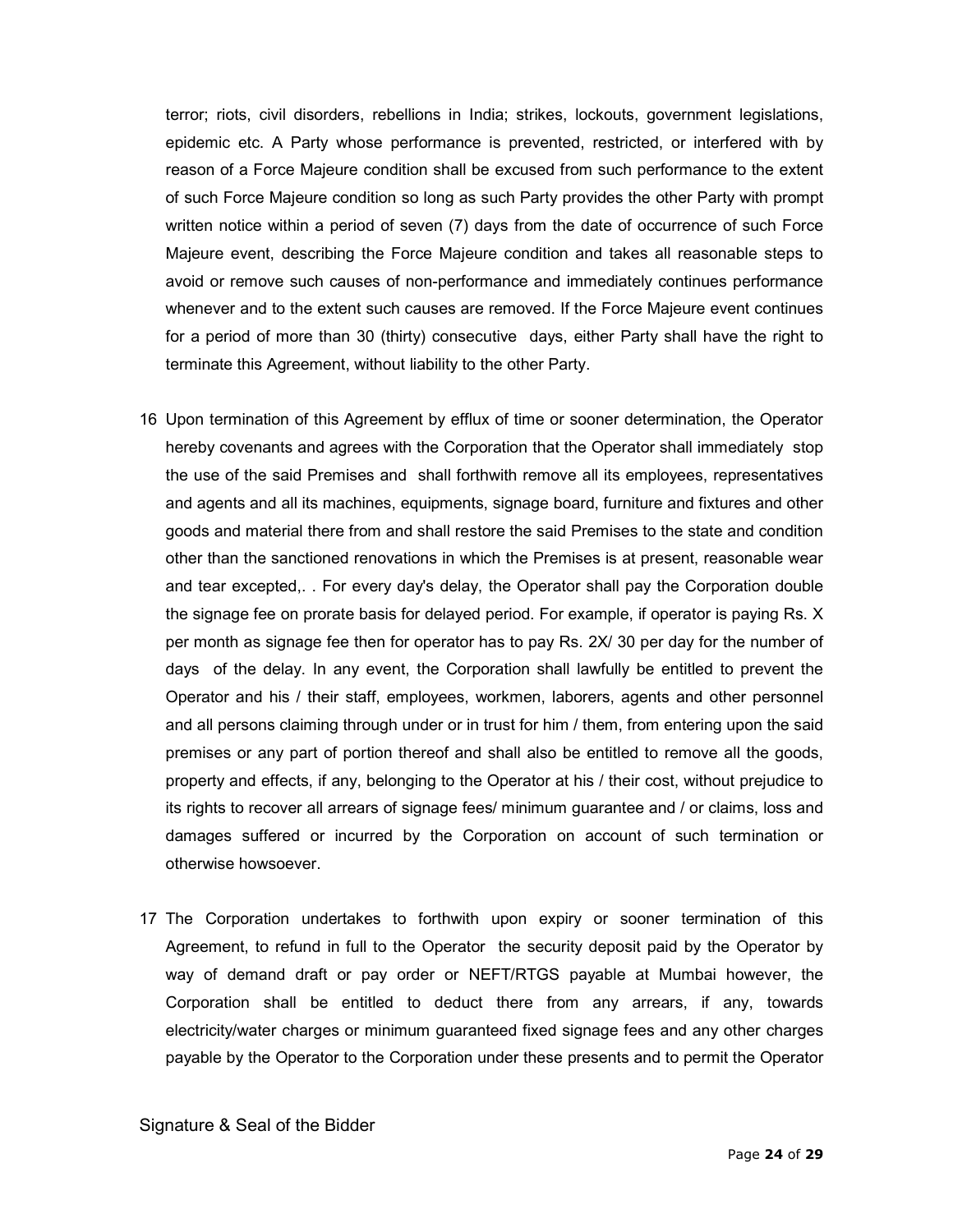terror; riots, civil disorders, rebellions in India; strikes, lockouts, government legislations, epidemic etc. A Party whose performance is prevented, restricted, or interfered with by reason of a Force Majeure condition shall be excused from such performance to the extent of such Force Majeure condition so long as such Party provides the other Party with prompt written notice within a period of seven (7) days from the date of occurrence of such Force Majeure event, describing the Force Majeure condition and takes all reasonable steps to avoid or remove such causes of non-performance and immediately continues performance whenever and to the extent such causes are removed. If the Force Majeure event continues for a period of more than 30 (thirty) consecutive days, either Party shall have the right to terminate this Agreement, without liability to the other Party.

- 16 Upon termination of this Agreement by efflux of time or sooner determination, the Operator hereby covenants and agrees with the Corporation that the Operator shall immediately stop the use of the said Premises and shall forthwith remove all its employees, representatives and agents and all its machines, equipments, signage board, furniture and fixtures and other goods and material there from and shall restore the said Premises to the state and condition other than the sanctioned renovations in which the Premises is at present, reasonable wear and tear excepted,. . For every day's delay, the Operator shall pay the Corporation double the signage fee on prorate basis for delayed period. For example, if operator is paying Rs. X per month as signage fee then for operator has to pay Rs. 2X/ 30 per day for the number of days of the delay. In any event, the Corporation shall lawfully be entitled to prevent the Operator and his / their staff, employees, workmen, laborers, agents and other personnel and all persons claiming through under or in trust for him / them, from entering upon the said premises or any part of portion thereof and shall also be entitled to remove all the goods, property and effects, if any, belonging to the Operator at his / their cost, without prejudice to its rights to recover all arrears of signage fees/ minimum guarantee and / or claims, loss and damages suffered or incurred by the Corporation on account of such termination or otherwise howsoever.
- 17 The Corporation undertakes to forthwith upon expiry or sooner termination of this Agreement, to refund in full to the Operator the security deposit paid by the Operator by way of demand draft or pay order or NEFT/RTGS payable at Mumbai however, the Corporation shall be entitled to deduct there from any arrears, if any, towards electricity/water charges or minimum guaranteed fixed signage fees and any other charges payable by the Operator to the Corporation under these presents and to permit the Operator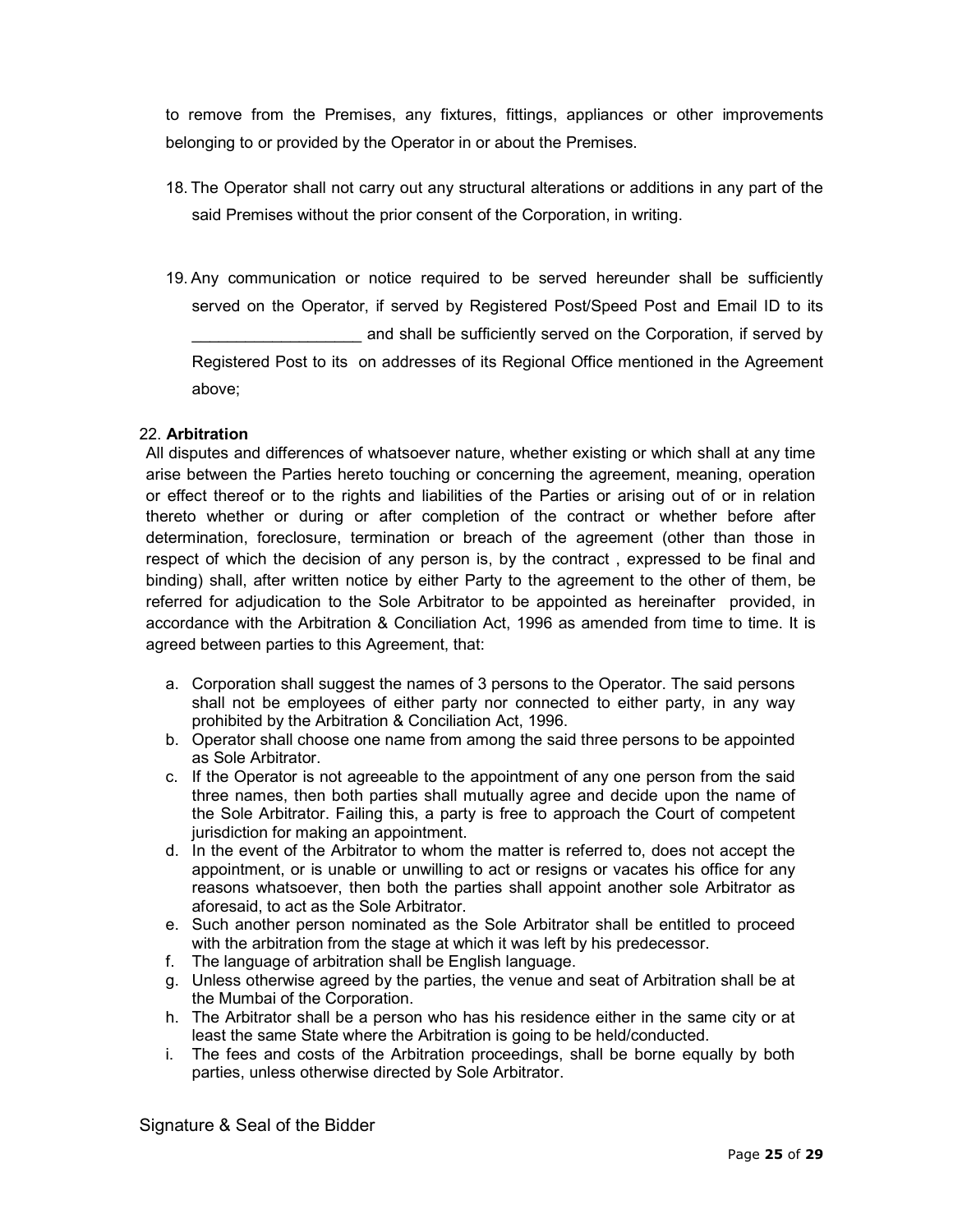to remove from the Premises, any fixtures, fittings, appliances or other improvements belonging to or provided by the Operator in or about the Premises.

- 18. The Operator shall not carry out any structural alterations or additions in any part of the said Premises without the prior consent of the Corporation, in writing.
- 19. Any communication or notice required to be served hereunder shall be sufficiently served on the Operator, if served by Registered Post/Speed Post and Email ID to its and shall be sufficiently served on the Corporation, if served by Registered Post to its on addresses of its Regional Office mentioned in the Agreement above;

#### 22. Arbitration

All disputes and differences of whatsoever nature, whether existing or which shall at any time arise between the Parties hereto touching or concerning the agreement, meaning, operation or effect thereof or to the rights and liabilities of the Parties or arising out of or in relation thereto whether or during or after completion of the contract or whether before after determination, foreclosure, termination or breach of the agreement (other than those in respect of which the decision of any person is, by the contract , expressed to be final and binding) shall, after written notice by either Party to the agreement to the other of them, be referred for adjudication to the Sole Arbitrator to be appointed as hereinafter provided, in accordance with the Arbitration & Conciliation Act, 1996 as amended from time to time. It is agreed between parties to this Agreement, that:

- a. Corporation shall suggest the names of 3 persons to the Operator. The said persons shall not be employees of either party nor connected to either party, in any way prohibited by the Arbitration & Conciliation Act, 1996.
- b. Operator shall choose one name from among the said three persons to be appointed as Sole Arbitrator.
- c. If the Operator is not agreeable to the appointment of any one person from the said three names, then both parties shall mutually agree and decide upon the name of the Sole Arbitrator. Failing this, a party is free to approach the Court of competent jurisdiction for making an appointment.
- d. In the event of the Arbitrator to whom the matter is referred to, does not accept the appointment, or is unable or unwilling to act or resigns or vacates his office for any reasons whatsoever, then both the parties shall appoint another sole Arbitrator as aforesaid, to act as the Sole Arbitrator.
- e. Such another person nominated as the Sole Arbitrator shall be entitled to proceed with the arbitration from the stage at which it was left by his predecessor.
- f. The language of arbitration shall be English language.
- g. Unless otherwise agreed by the parties, the venue and seat of Arbitration shall be at the Mumbai of the Corporation.
- h. The Arbitrator shall be a person who has his residence either in the same city or at least the same State where the Arbitration is going to be held/conducted.
- i. The fees and costs of the Arbitration proceedings, shall be borne equally by both parties, unless otherwise directed by Sole Arbitrator.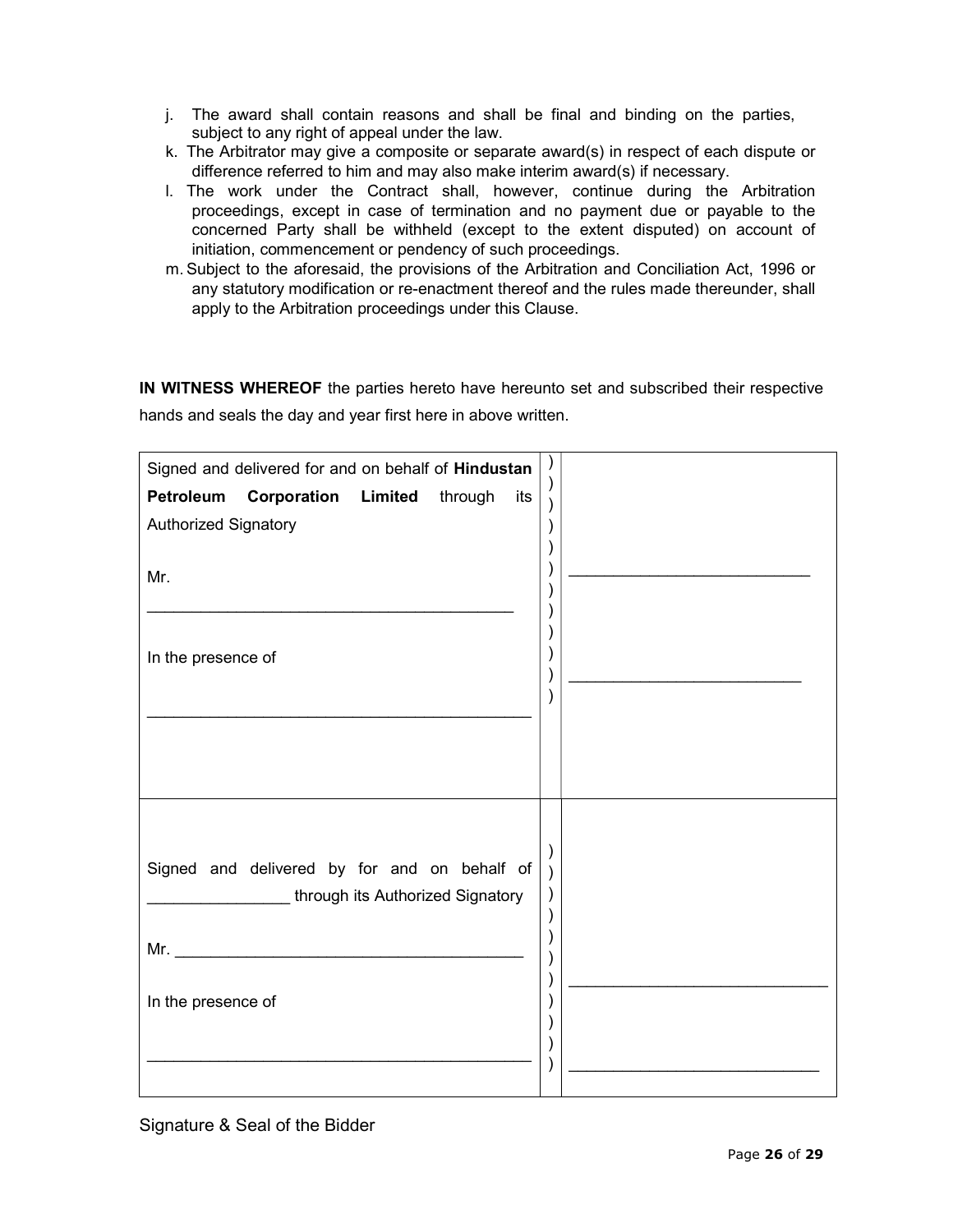- j. The award shall contain reasons and shall be final and binding on the parties, subject to any right of appeal under the law.
- k. The Arbitrator may give a composite or separate award(s) in respect of each dispute or difference referred to him and may also make interim award(s) if necessary.
- l. The work under the Contract shall, however, continue during the Arbitration proceedings, except in case of termination and no payment due or payable to the concerned Party shall be withheld (except to the extent disputed) on account of initiation, commencement or pendency of such proceedings.
- m. Subject to the aforesaid, the provisions of the Arbitration and Conciliation Act, 1996 or any statutory modification or re-enactment thereof and the rules made thereunder, shall apply to the Arbitration proceedings under this Clause.

IN WITNESS WHEREOF the parties hereto have hereunto set and subscribed their respective hands and seals the day and year first here in above written.

| Signed and delivered for and on behalf of Hindustan |           |  |
|-----------------------------------------------------|-----------|--|
| Petroleum Corporation Limited through<br>its        |           |  |
| Authorized Signatory                                |           |  |
|                                                     |           |  |
| Mr.                                                 |           |  |
|                                                     |           |  |
|                                                     |           |  |
| In the presence of                                  |           |  |
|                                                     |           |  |
|                                                     |           |  |
|                                                     |           |  |
|                                                     |           |  |
|                                                     |           |  |
|                                                     |           |  |
|                                                     |           |  |
| Signed and delivered by for and on behalf of        | $\lambda$ |  |
| through its Authorized Signatory                    |           |  |
|                                                     |           |  |
|                                                     |           |  |
|                                                     |           |  |
| In the presence of                                  |           |  |
|                                                     |           |  |
|                                                     |           |  |
|                                                     |           |  |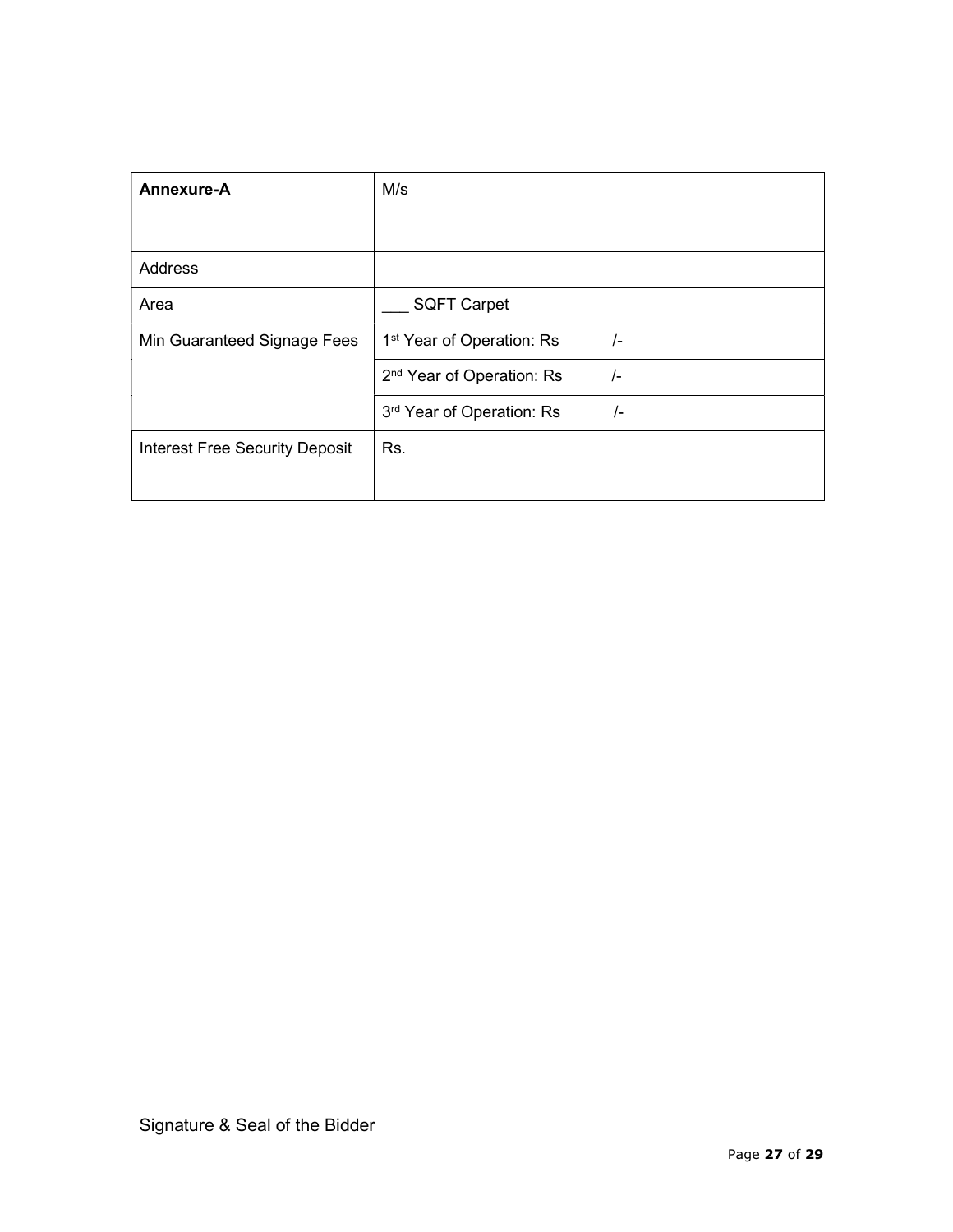| Annexure-A                            | M/s                                                    |
|---------------------------------------|--------------------------------------------------------|
|                                       |                                                        |
| Address                               |                                                        |
| Area                                  | <b>SQFT Carpet</b>                                     |
| Min Guaranteed Signage Fees           | 1 <sup>st</sup> Year of Operation: Rs<br>$\frac{1}{2}$ |
|                                       | 2 <sup>nd</sup> Year of Operation: Rs<br>$\frac{1}{2}$ |
|                                       | 3rd Year of Operation: Rs<br>$\frac{1}{2}$             |
| <b>Interest Free Security Deposit</b> | Rs.                                                    |
|                                       |                                                        |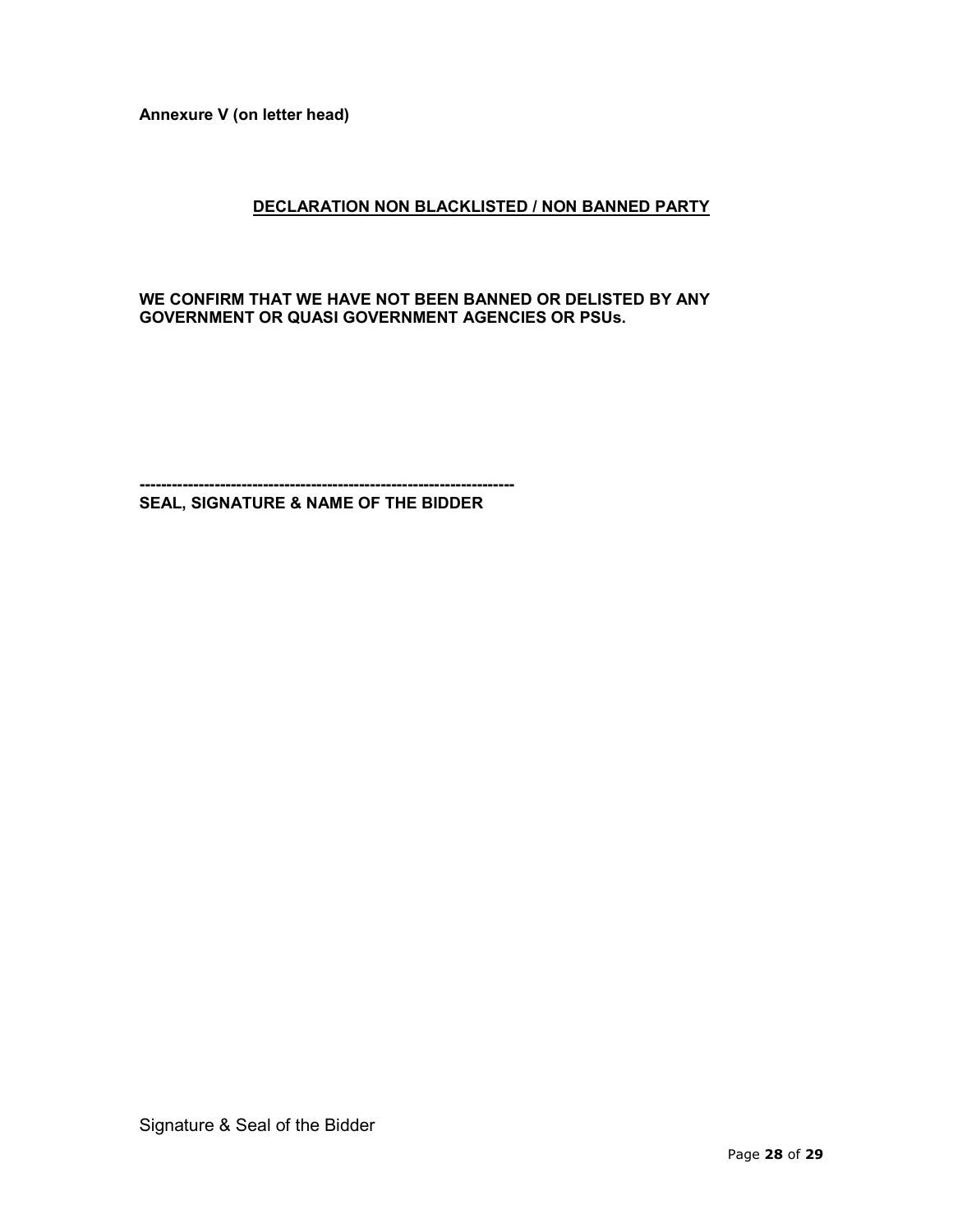Annexure V (on letter head)

## DECLARATION NON BLACKLISTED / NON BANNED PARTY

WE CONFIRM THAT WE HAVE NOT BEEN BANNED OR DELISTED BY ANY GOVERNMENT OR QUASI GOVERNMENT AGENCIES OR PSUs.

---------------------------------------------------------------------- SEAL, SIGNATURE & NAME OF THE BIDDER